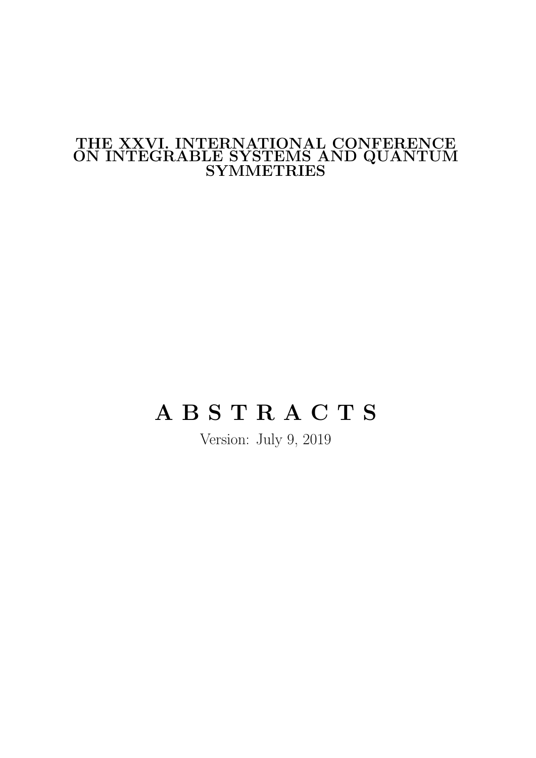# THE XXVI. INTERNATIONAL CONFERENCE ON INTEGRABLE SYSTEMS AND QUANTUM SYMMETRIES

# A B S T R A C T S

Version: July 9, 2019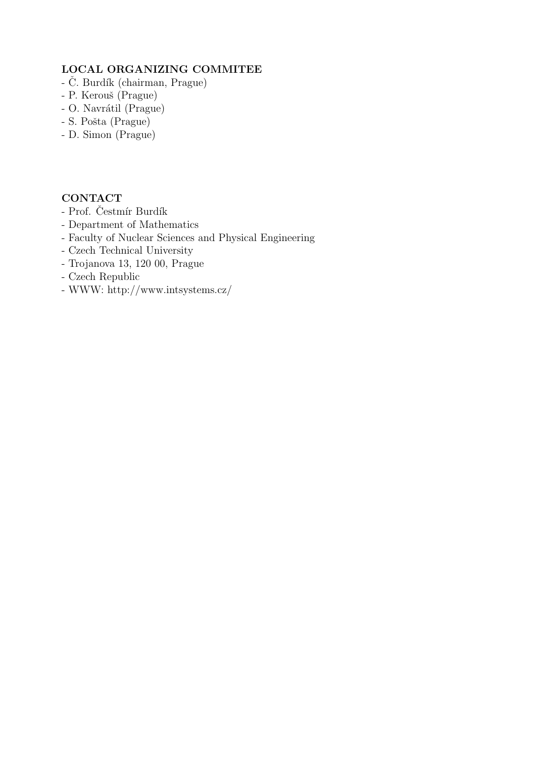### LOCAL ORGANIZING COMMITEE

- $-$  Č. Burdík (chairman, Prague)
- P. Kerouš (Prague)
- O. Navrátil (Prague)
- S. Pošta (Prague)
- D. Simon (Prague)

### **CONTACT**

- Prof. Čestmír Burdík
- Department of Mathematics
- Faculty of Nuclear Sciences and Physical Engineering
- Czech Technical University
- Trojanova 13, 120 00, Prague
- Czech Republic
- WWW: http://www.intsystems.cz/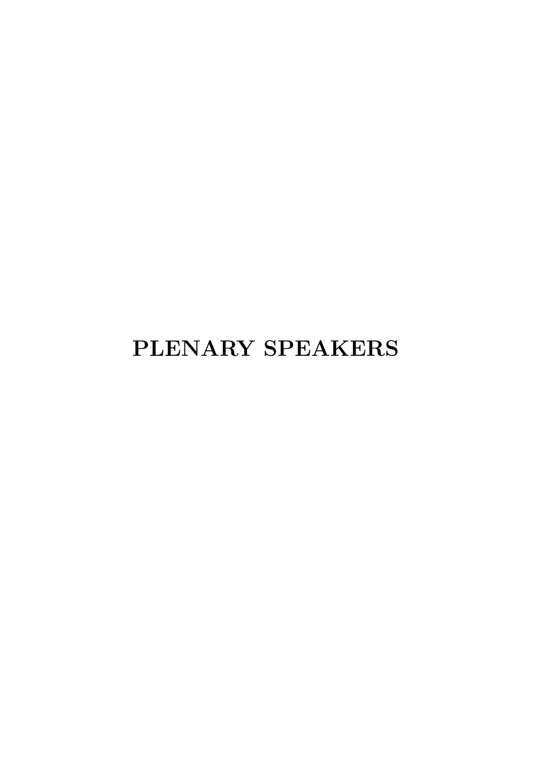# PLENARY SPEAKERS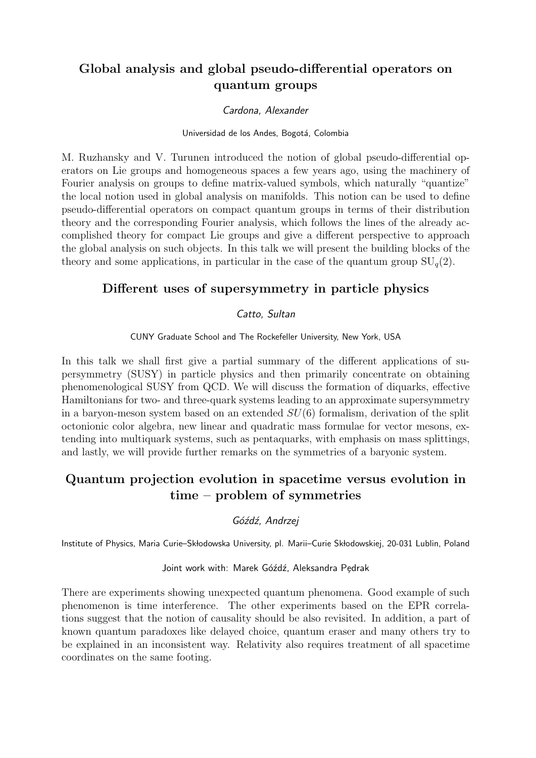# Global analysis and global pseudo-differential operators on quantum groups

### Cardona, Alexander

### Universidad de los Andes, Bogotá, Colombia

M. Ruzhansky and V. Turunen introduced the notion of global pseudo-differential operators on Lie groups and homogeneous spaces a few years ago, using the machinery of Fourier analysis on groups to define matrix-valued symbols, which naturally "quantize" the local notion used in global analysis on manifolds. This notion can be used to define pseudo-differential operators on compact quantum groups in terms of their distribution theory and the corresponding Fourier analysis, which follows the lines of the already accomplished theory for compact Lie groups and give a different perspective to approach the global analysis on such objects. In this talk we will present the building blocks of the theory and some applications, in particular in the case of the quantum group  $SU_q(2)$ .

### Different uses of supersymmetry in particle physics

### Catto, Sultan

CUNY Graduate School and The Rockefeller University, New York, USA

In this talk we shall first give a partial summary of the different applications of supersymmetry (SUSY) in particle physics and then primarily concentrate on obtaining phenomenological SUSY from QCD. We will discuss the formation of diquarks, effective Hamiltonians for two- and three-quark systems leading to an approximate supersymmetry in a baryon-meson system based on an extended  $SU(6)$  formalism, derivation of the split octonionic color algebra, new linear and quadratic mass formulae for vector mesons, extending into multiquark systems, such as pentaquarks, with emphasis on mass splittings, and lastly, we will provide further remarks on the symmetries of a baryonic system.

# Quantum projection evolution in spacetime versus evolution in time – problem of symmetries

Góźdź, Andrzej

Institute of Physics, Maria Curie–Skłodowska University, pl. Marii–Curie Skłodowskiej, 20-031 Lublin, Poland

### Joint work with: Marek Góźdź, Aleksandra Pedrak

There are experiments showing unexpected quantum phenomena. Good example of such phenomenon is time interference. The other experiments based on the EPR correlations suggest that the notion of causality should be also revisited. In addition, a part of known quantum paradoxes like delayed choice, quantum eraser and many others try to be explained in an inconsistent way. Relativity also requires treatment of all spacetime coordinates on the same footing.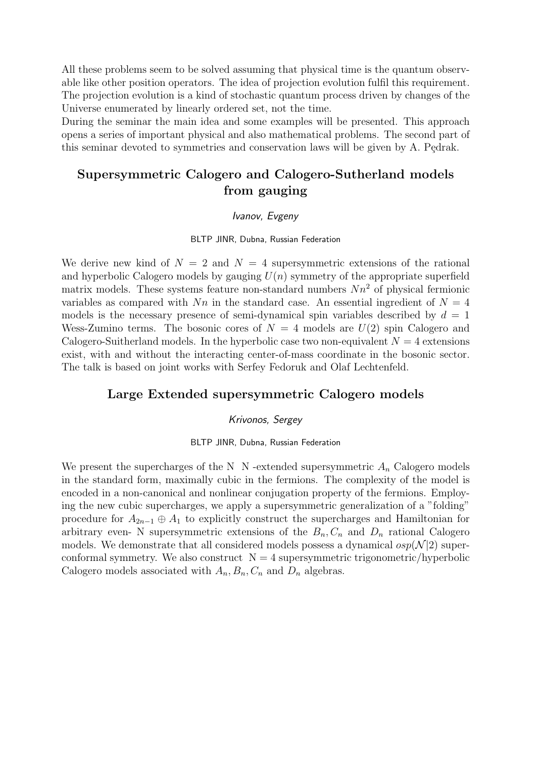All these problems seem to be solved assuming that physical time is the quantum observable like other position operators. The idea of projection evolution fulfil this requirement. The projection evolution is a kind of stochastic quantum process driven by changes of the Universe enumerated by linearly ordered set, not the time.

During the seminar the main idea and some examples will be presented. This approach opens a series of important physical and also mathematical problems. The second part of this seminar devoted to symmetries and conservation laws will be given by A. Pędrak.

# Supersymmetric Calogero and Calogero-Sutherland models from gauging

### Ivanov, Evgeny

BLTP JINR, Dubna, Russian Federation

We derive new kind of  $N = 2$  and  $N = 4$  supersymmetric extensions of the rational and hyperbolic Calogero models by gauging  $U(n)$  symmetry of the appropriate superfield matrix models. These systems feature non-standard numbers  $Nn^2$  of physical fermionic variables as compared with  $Nn$  in the standard case. An essential ingredient of  $N = 4$ models is the necessary presence of semi-dynamical spin variables described by  $d = 1$ Wess-Zumino terms. The bosonic cores of  $N = 4$  models are  $U(2)$  spin Calogero and Calogero-Suitherland models. In the hyperbolic case two non-equivalent  $N = 4$  extensions exist, with and without the interacting center-of-mass coordinate in the bosonic sector. The talk is based on joint works with Serfey Fedoruk and Olaf Lechtenfeld.

### Large Extended supersymmetric Calogero models

### Krivonos, Sergey

BLTP JINR, Dubna, Russian Federation

We present the supercharges of the N  $\,$  N -extended supersymmetric  $A_n$  Calogero models in the standard form, maximally cubic in the fermions. The complexity of the model is encoded in a non-canonical and nonlinear conjugation property of the fermions. Employing the new cubic supercharges, we apply a supersymmetric generalization of a "folding" procedure for  $A_{2n-1} \oplus A_1$  to explicitly construct the supercharges and Hamiltonian for arbitrary even- N supersymmetric extensions of the  $B_n, C_n$  and  $D_n$  rational Calogero models. We demonstrate that all considered models possess a dynamical  $osp(N|2)$  superconformal symmetry. We also construct  $N = 4$  supersymmetric trigonometric/hyperbolic Calogero models associated with  $A_n, B_n, C_n$  and  $D_n$  algebras.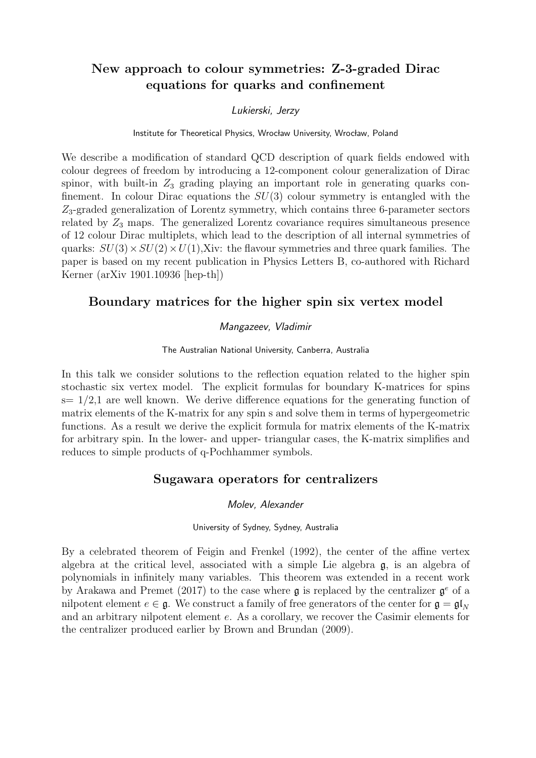# New approach to colour symmetries: Z-3-graded Dirac equations for quarks and confinement

### Lukierski, Jerzy

### Institute for Theoretical Physics, Wrocław University, Wrocław, Poland

We describe a modification of standard QCD description of quark fields endowed with colour degrees of freedom by introducing a 12-component colour generalization of Dirac spinor, with built-in  $Z_3$  grading playing an important role in generating quarks confinement. In colour Dirac equations the  $SU(3)$  colour symmetry is entangled with the Z3-graded generalization of Lorentz symmetry, which contains three 6-parameter sectors related by  $Z_3$  maps. The generalized Lorentz covariance requires simultaneous presence of 12 colour Dirac multiplets, which lead to the description of all internal symmetries of quarks:  $SU(3) \times SU(2) \times U(1)$ , Xiv: the flavour symmetries and three quark families. The paper is based on my recent publication in Physics Letters B, co-authored with Richard Kerner (arXiv 1901.10936 [hep-th])

### Boundary matrices for the higher spin six vertex model

### Mangazeev, Vladimir

The Australian National University, Canberra, Australia

In this talk we consider solutions to the reflection equation related to the higher spin stochastic six vertex model. The explicit formulas for boundary K-matrices for spins  $s= 1/2,1$  are well known. We derive difference equations for the generating function of matrix elements of the K-matrix for any spin s and solve them in terms of hypergeometric functions. As a result we derive the explicit formula for matrix elements of the K-matrix for arbitrary spin. In the lower- and upper- triangular cases, the K-matrix simplifies and reduces to simple products of q-Pochhammer symbols.

### Sugawara operators for centralizers

### Molev, Alexander

#### University of Sydney, Sydney, Australia

By a celebrated theorem of Feigin and Frenkel (1992), the center of the affine vertex algebra at the critical level, associated with a simple Lie algebra g, is an algebra of polynomials in infinitely many variables. This theorem was extended in a recent work by Arakawa and Premet (2017) to the case where  $\mathfrak g$  is replaced by the centralizer  $\mathfrak g^e$  of a nilpotent element  $e \in \mathfrak{g}$ . We construct a family of free generators of the center for  $\mathfrak{g} = \mathfrak{gl}_N$ and an arbitrary nilpotent element e. As a corollary, we recover the Casimir elements for the centralizer produced earlier by Brown and Brundan (2009).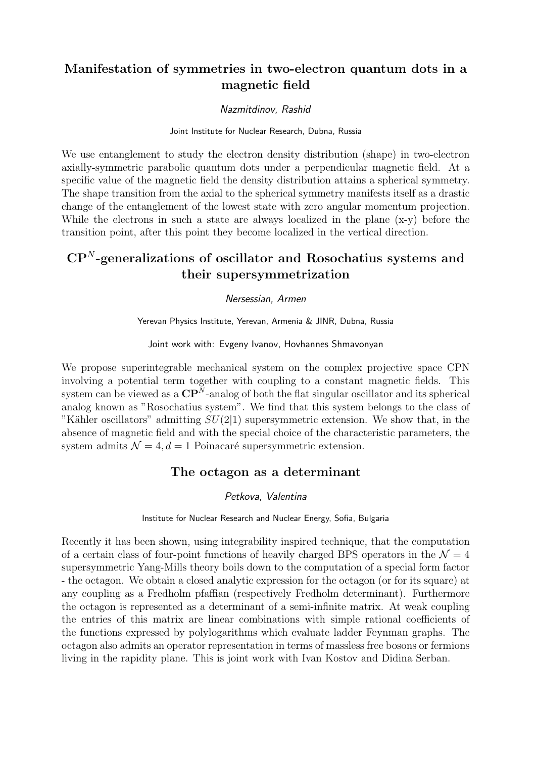# Manifestation of symmetries in two-electron quantum dots in a magnetic field

### Nazmitdinov, Rashid

### Joint Institute for Nuclear Research, Dubna, Russia

We use entanglement to study the electron density distribution (shape) in two-electron axially-symmetric parabolic quantum dots under a perpendicular magnetic field. At a specific value of the magnetic field the density distribution attains a spherical symmetry. The shape transition from the axial to the spherical symmetry manifests itself as a drastic change of the entanglement of the lowest state with zero angular momentum projection. While the electrons in such a state are always localized in the plane  $(x-y)$  before the transition point, after this point they become localized in the vertical direction.

# $\mathbf{CP}^N$ -generalizations of oscillator and Rosochatius systems and their supersymmetrization

### Nersessian, Armen

Yerevan Physics Institute, Yerevan, Armenia & JINR, Dubna, Russia

#### Joint work with: Evgeny Ivanov, Hovhannes Shmavonyan

We propose superintegrable mechanical system on the complex projective space CPN involving a potential term together with coupling to a constant magnetic fields. This system can be viewed as a  $\mathbf{CP}^N$ -analog of both the flat singular oscillator and its spherical analog known as "Rosochatius system". We find that this system belongs to the class of "Kähler oscillators" admitting  $SU(2|1)$  supersymmetric extension. We show that, in the absence of magnetic field and with the special choice of the characteristic parameters, the system admits  $\mathcal{N} = 4, d = 1$  Poinacaré supersymmetric extension.

### The octagon as a determinant

### Petkova, Valentina

### Institute for Nuclear Research and Nuclear Energy, Sofia, Bulgaria

Recently it has been shown, using integrability inspired technique, that the computation of a certain class of four-point functions of heavily charged BPS operators in the  $\mathcal{N}=4$ supersymmetric Yang-Mills theory boils down to the computation of a special form factor - the octagon. We obtain a closed analytic expression for the octagon (or for its square) at any coupling as a Fredholm pfaffian (respectively Fredholm determinant). Furthermore the octagon is represented as a determinant of a semi-infinite matrix. At weak coupling the entries of this matrix are linear combinations with simple rational coefficients of the functions expressed by polylogarithms which evaluate ladder Feynman graphs. The octagon also admits an operator representation in terms of massless free bosons or fermions living in the rapidity plane. This is joint work with Ivan Kostov and Didina Serban.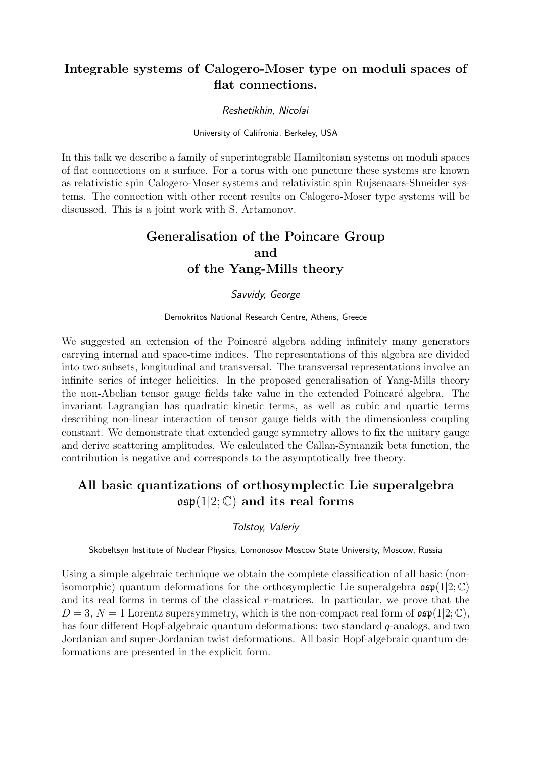# Integrable systems of Calogero-Moser type on moduli spaces of flat connections.

### Reshetikhin, Nicolai

University of Califronia, Berkeley, USA

In this talk we describe a family of superintegrable Hamiltonian systems on moduli spaces of flat connections on a surface. For a torus with one puncture these systems are known as relativistic spin Calogero-Moser systems and relativistic spin Rujsenaars-Shneider systems. The connection with other recent results on Calogero-Moser type systems will be discussed. This is a joint work with S. Artamonov.

# Generalisation of the Poincare Group and of the Yang-Mills theory

### Savvidy, George

#### Demokritos National Research Centre, Athens, Greece

We suggested an extension of the Poincaré algebra adding infinitely many generators carrying internal and space-time indices. The representations of this algebra are divided into two subsets, longitudinal and transversal. The transversal representations involve an infinite series of integer helicities. In the proposed generalisation of Yang-Mills theory the non-Abelian tensor gauge fields take value in the extended Poincaré algebra. The invariant Lagrangian has quadratic kinetic terms, as well as cubic and quartic terms describing non-linear interaction of tensor gauge fields with the dimensionless coupling constant. We demonstrate that extended gauge symmetry allows to fix the unitary gauge and derive scattering amplitudes. We calculated the Callan-Symanzik beta function, the contribution is negative and corresponds to the asymptotically free theory.

# All basic quantizations of orthosymplectic Lie superalgebra  $\mathfrak{osp}(1|2;\mathbb{C})$  and its real forms

### Tolstoy, Valeriy

Skobeltsyn Institute of Nuclear Physics, Lomonosov Moscow State University, Moscow, Russia

Using a simple algebraic technique we obtain the complete classification of all basic (nonisomorphic) quantum deformations for the orthosymplectic Lie superalgebra  $\mathfrak{osp}(1|2;\mathbb{C})$ and its real forms in terms of the classical r-matrices. In particular, we prove that the  $D = 3$ ,  $N = 1$  Lorentz supersymmetry, which is the non-compact real form of  $\mathfrak{osp}(1|2;\mathbb{C})$ , has four different Hopf-algebraic quantum deformations: two standard  $q$ -analogs, and two Jordanian and super-Jordanian twist deformations. All basic Hopf-algebraic quantum deformations are presented in the explicit form.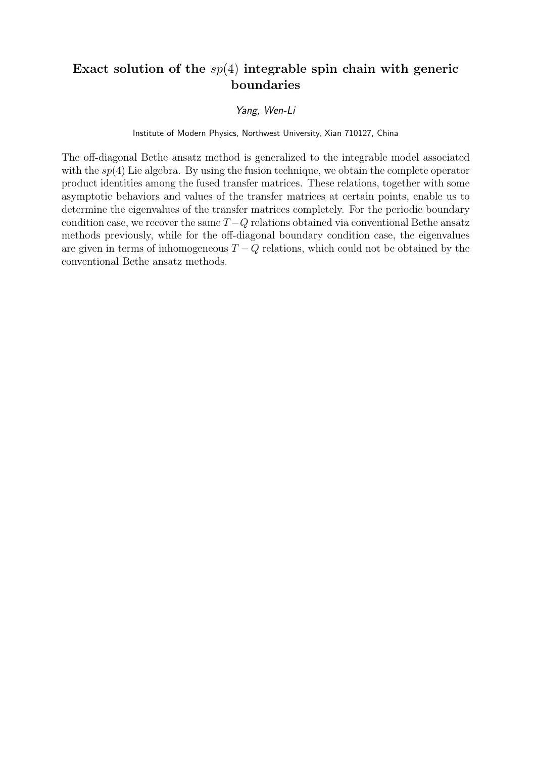# Exact solution of the  $sp(4)$  integrable spin chain with generic boundaries

### Yang, Wen-Li

### Institute of Modern Physics, Northwest University, Xian 710127, China

The off-diagonal Bethe ansatz method is generalized to the integrable model associated with the  $sp(4)$  Lie algebra. By using the fusion technique, we obtain the complete operator product identities among the fused transfer matrices. These relations, together with some asymptotic behaviors and values of the transfer matrices at certain points, enable us to determine the eigenvalues of the transfer matrices completely. For the periodic boundary condition case, we recover the same  $T - Q$  relations obtained via conventional Bethe ansatz methods previously, while for the off-diagonal boundary condition case, the eigenvalues are given in terms of inhomogeneous  $T - Q$  relations, which could not be obtained by the conventional Bethe ansatz methods.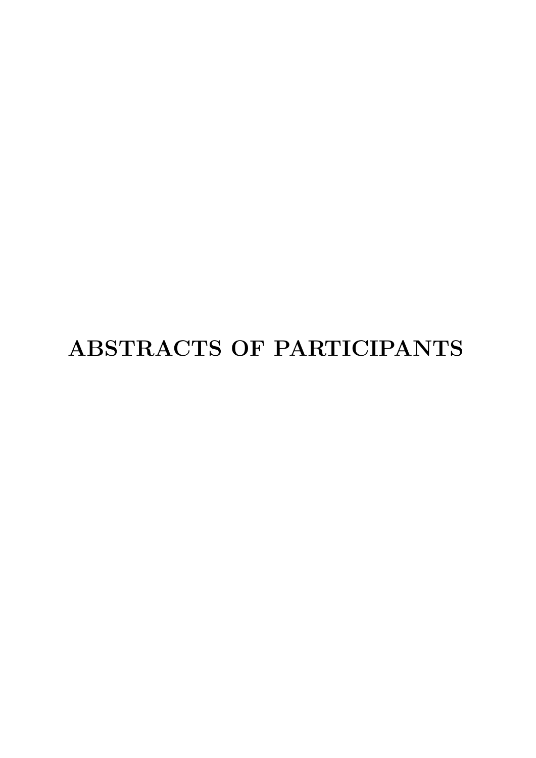# ABSTRACTS OF PARTICIPANTS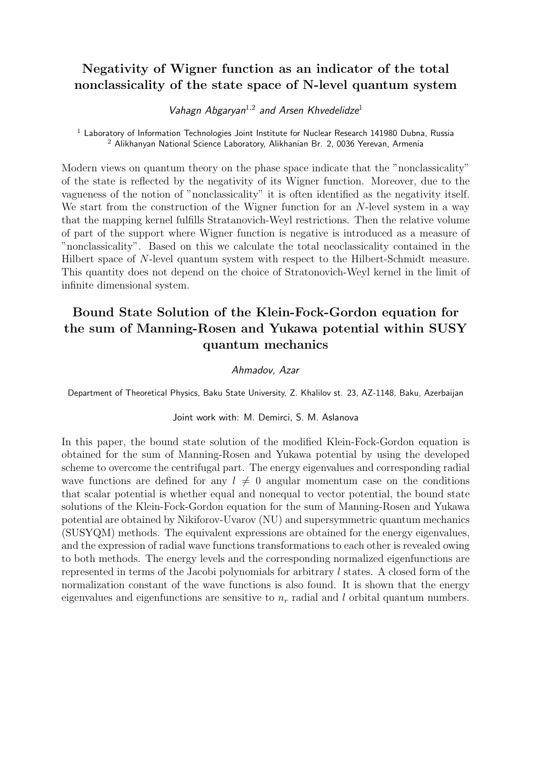# Negativity of Wigner function as an indicator of the total nonclassicality of the state space of N-level quantum system

Vahagn Abgaryan<sup>1,2</sup> and Arsen Khvedelidze<sup>1</sup>

 $1$  Laboratory of Information Technologies Joint Institute for Nuclear Research 141980 Dubna, Russia <sup>2</sup> Alikhanyan National Science Laboratory, Alikhanian Br. 2, 0036 Yerevan, Armenia

Modern views on quantum theory on the phase space indicate that the "nonclassicality" of the state is reflected by the negativity of its Wigner function. Moreover, due to the vagueness of the notion of "nonclassicality" it is often identified as the negativity itself. We start from the construction of the Wigner function for an N-level system in a way that the mapping kernel fulfills Stratanovich-Weyl restrictions. Then the relative volume of part of the support where Wigner function is negative is introduced as a measure of "nonclassicality". Based on this we calculate the total neoclassicality contained in the Hilbert space of N-level quantum system with respect to the Hilbert-Schmidt measure. This quantity does not depend on the choice of Stratonovich-Weyl kernel in the limit of infinite dimensional system.

# Bound State Solution of the Klein-Fock-Gordon equation for the sum of Manning-Rosen and Yukawa potential within SUSY quantum mechanics

### Ahmadov, Azar

Department of Theoretical Physics, Baku State University, Z. Khalilov st. 23, AZ-1148, Baku, Azerbaijan

### Joint work with: M. Demirci, S. M. Aslanova

In this paper, the bound state solution of the modified Klein-Fock-Gordon equation is obtained for the sum of Manning-Rosen and Yukawa potential by using the developed scheme to overcome the centrifugal part. The energy eigenvalues and corresponding radial wave functions are defined for any  $l \neq 0$  angular momentum case on the conditions that scalar potential is whether equal and nonequal to vector potential, the bound state solutions of the Klein-Fock-Gordon equation for the sum of Manning-Rosen and Yukawa potential are obtained by Nikiforov-Uvarov (NU) and supersymmetric quantum mechanics (SUSYQM) methods. The equivalent expressions are obtained for the energy eigenvalues, and the expression of radial wave functions transformations to each other is revealed owing to both methods. The energy levels and the corresponding normalized eigenfunctions are represented in terms of the Jacobi polynomials for arbitrary l states. A closed form of the normalization constant of the wave functions is also found. It is shown that the energy eigenvalues and eigenfunctions are sensitive to  $n_r$  radial and l orbital quantum numbers.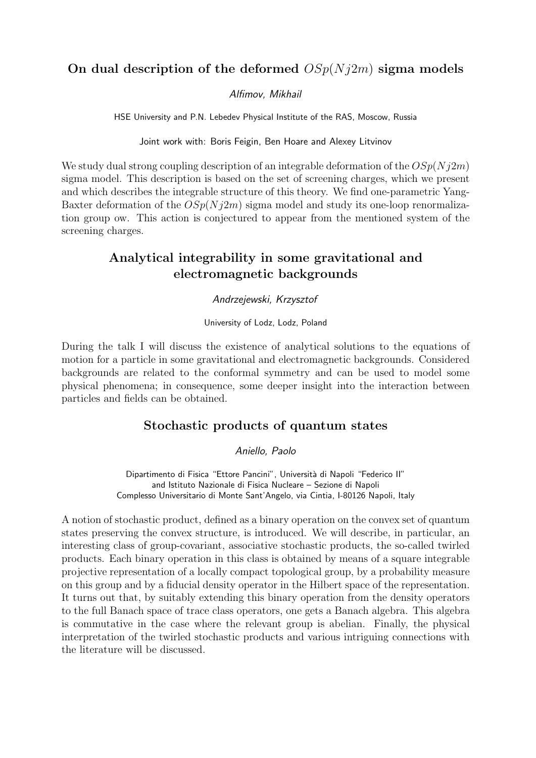# On dual description of the deformed  $OSp(Nj2m)$  sigma models

### Alfimov, Mikhail

HSE University and P.N. Lebedev Physical Institute of the RAS, Moscow, Russia

Joint work with: Boris Feigin, Ben Hoare and Alexey Litvinov

We study dual strong coupling description of an integrable deformation of the  $OSp(N_12m)$ sigma model. This description is based on the set of screening charges, which we present and which describes the integrable structure of this theory. We find one-parametric Yang-Baxter deformation of the  $OSp(Nj2m)$  sigma model and study its one-loop renormalization group ow. This action is conjectured to appear from the mentioned system of the screening charges.

# Analytical integrability in some gravitational and electromagnetic backgrounds

### Andrzejewski, Krzysztof

University of Lodz, Lodz, Poland

During the talk I will discuss the existence of analytical solutions to the equations of motion for a particle in some gravitational and electromagnetic backgrounds. Considered backgrounds are related to the conformal symmetry and can be used to model some physical phenomena; in consequence, some deeper insight into the interaction between particles and fields can be obtained.

### Stochastic products of quantum states

Aniello, Paolo

Dipartimento di Fisica "Ettore Pancini", Università di Napoli "Federico II" and Istituto Nazionale di Fisica Nucleare – Sezione di Napoli Complesso Universitario di Monte Sant'Angelo, via Cintia, I-80126 Napoli, Italy

A notion of stochastic product, defined as a binary operation on the convex set of quantum states preserving the convex structure, is introduced. We will describe, in particular, an interesting class of group-covariant, associative stochastic products, the so-called twirled products. Each binary operation in this class is obtained by means of a square integrable projective representation of a locally compact topological group, by a probability measure on this group and by a fiducial density operator in the Hilbert space of the representation. It turns out that, by suitably extending this binary operation from the density operators to the full Banach space of trace class operators, one gets a Banach algebra. This algebra is commutative in the case where the relevant group is abelian. Finally, the physical interpretation of the twirled stochastic products and various intriguing connections with the literature will be discussed.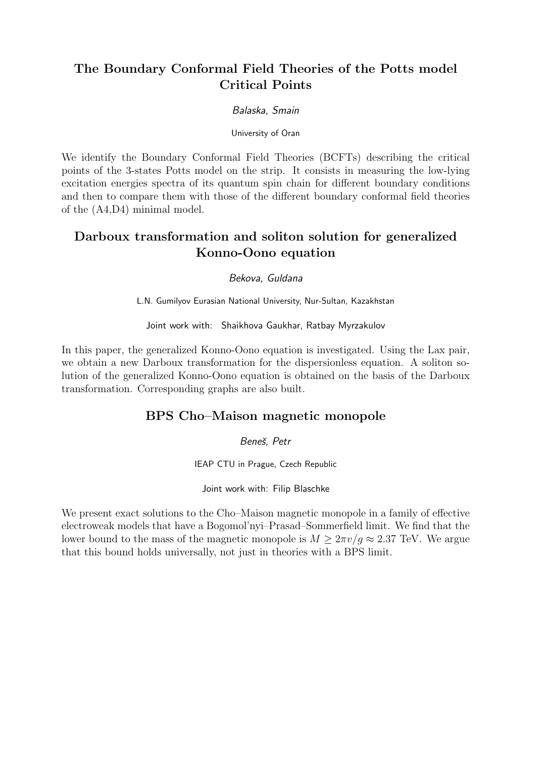# The Boundary Conformal Field Theories of the Potts model Critical Points

### Balaska, Smain

University of Oran

We identify the Boundary Conformal Field Theories (BCFTs) describing the critical points of the 3-states Potts model on the strip. It consists in measuring the low-lying excitation energies spectra of its quantum spin chain for different boundary conditions and then to compare them with those of the different boundary conformal field theories of the (A4,D4) minimal model.

# Darboux transformation and soliton solution for generalized Konno-Oono equation

Bekova, Guldana

L.N. Gumilyov Eurasian National University, Nur-Sultan, Kazakhstan

Joint work with: Shaikhova Gaukhar, Ratbay Myrzakulov

In this paper, the generalized Konno-Oono equation is investigated. Using the Lax pair, we obtain a new Darboux transformation for the dispersionless equation. A soliton solution of the generalized Konno-Oono equation is obtained on the basis of the Darboux transformation. Corresponding graphs are also built.

### BPS Cho–Maison magnetic monopole

Beneš, Petr

IEAP CTU in Prague, Czech Republic

Joint work with: Filip Blaschke

We present exact solutions to the Cho–Maison magnetic monopole in a family of effective electroweak models that have a Bogomol'nyi–Prasad–Sommerfield limit. We find that the lower bound to the mass of the magnetic monopole is  $M > 2\pi v/q \approx 2.37$  TeV. We argue that this bound holds universally, not just in theories with a BPS limit.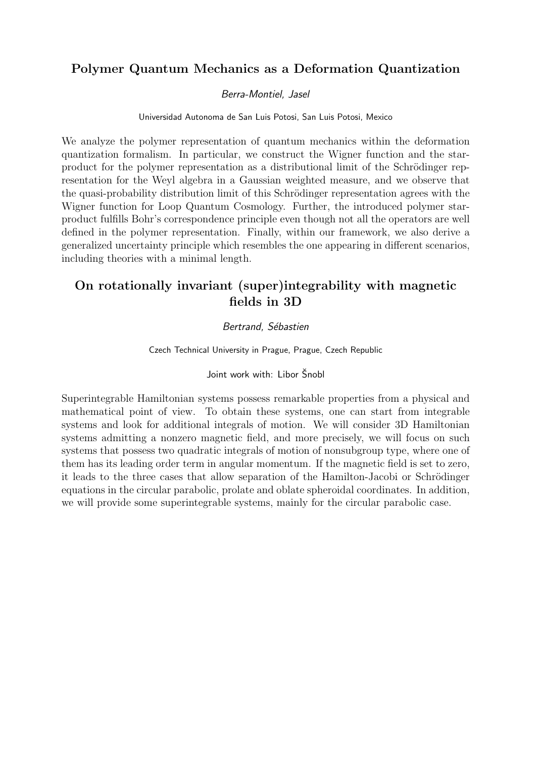# Polymer Quantum Mechanics as a Deformation Quantization

### Berra-Montiel, Jasel

Universidad Autonoma de San Luis Potosi, San Luis Potosi, Mexico

We analyze the polymer representation of quantum mechanics within the deformation quantization formalism. In particular, we construct the Wigner function and the starproduct for the polymer representation as a distributional limit of the Schrödinger representation for the Weyl algebra in a Gaussian weighted measure, and we observe that the quasi-probability distribution limit of this Schrödinger representation agrees with the Wigner function for Loop Quantum Cosmology. Further, the introduced polymer starproduct fulfills Bohr's correspondence principle even though not all the operators are well defined in the polymer representation. Finally, within our framework, we also derive a generalized uncertainty principle which resembles the one appearing in different scenarios, including theories with a minimal length.

# On rotationally invariant (super)integrability with magnetic fields in 3D

### Bertrand, Sébastien

Czech Technical University in Prague, Prague, Czech Republic

### Joint work with: Libor Šnobl

Superintegrable Hamiltonian systems possess remarkable properties from a physical and mathematical point of view. To obtain these systems, one can start from integrable systems and look for additional integrals of motion. We will consider 3D Hamiltonian systems admitting a nonzero magnetic field, and more precisely, we will focus on such systems that possess two quadratic integrals of motion of nonsubgroup type, where one of them has its leading order term in angular momentum. If the magnetic field is set to zero, it leads to the three cases that allow separation of the Hamilton-Jacobi or Schrödinger equations in the circular parabolic, prolate and oblate spheroidal coordinates. In addition, we will provide some superintegrable systems, mainly for the circular parabolic case.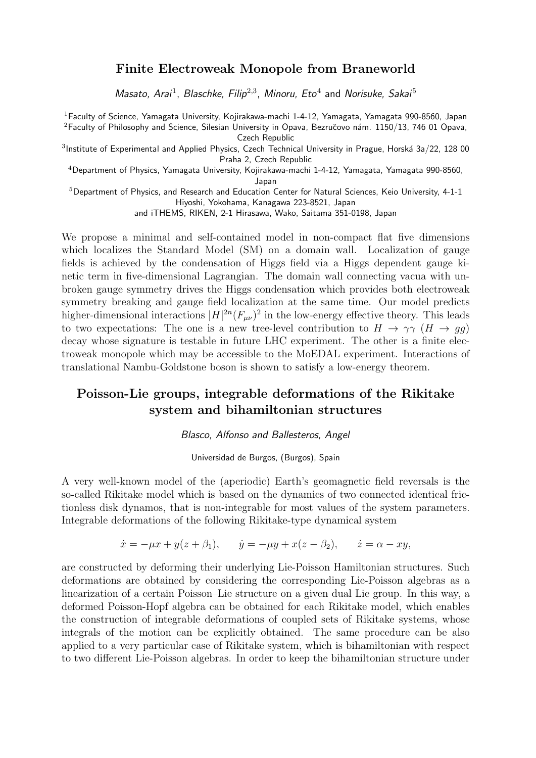### Finite Electroweak Monopole from Braneworld

Masato, Arai<sup>1</sup>, Blaschke, Filip<sup>2,3</sup>, Minoru, Eto<sup>4</sup> and Norisuke, Sakai<sup>5</sup>

<sup>1</sup>Faculty of Science, Yamagata University, Kojirakawa-machi 1-4-12, Yamagata, Yamagata 990-8560, Japan <sup>2</sup>Faculty of Philosophy and Science, Silesian University in Opava, Bezručovo nám. 1150/13, 746 01 Opava, Czech Republic

 $^3$ Institute of Experimental and Applied Physics, Czech Technical University in Prague, Horská 3a/22, 128 00 Praha 2, Czech Republic

<sup>4</sup>Department of Physics, Yamagata University, Kojirakawa-machi 1-4-12, Yamagata, Yamagata 990-8560,

Japan

 $5$ Department of Physics, and Research and Education Center for Natural Sciences, Keio University, 4-1-1 Hiyoshi, Yokohama, Kanagawa 223-8521, Japan

and iTHEMS, RIKEN, 2-1 Hirasawa, Wako, Saitama 351-0198, Japan

We propose a minimal and self-contained model in non-compact flat five dimensions which localizes the Standard Model (SM) on a domain wall. Localization of gauge fields is achieved by the condensation of Higgs field via a Higgs dependent gauge kinetic term in five-dimensional Lagrangian. The domain wall connecting vacua with unbroken gauge symmetry drives the Higgs condensation which provides both electroweak symmetry breaking and gauge field localization at the same time. Our model predicts higher-dimensional interactions  $|H|^{2n}(F_{\mu\nu})^2$  in the low-energy effective theory. This leads to two expectations: The one is a new tree-level contribution to  $H \to \gamma \gamma$  ( $H \to g \bar{g}$ ) decay whose signature is testable in future LHC experiment. The other is a finite electroweak monopole which may be accessible to the MoEDAL experiment. Interactions of translational Nambu-Goldstone boson is shown to satisfy a low-energy theorem.

# Poisson-Lie groups, integrable deformations of the Rikitake system and bihamiltonian structures

Blasco, Alfonso and Ballesteros, Angel

Universidad de Burgos, (Burgos), Spain

A very well-known model of the (aperiodic) Earth's geomagnetic field reversals is the so-called Rikitake model which is based on the dynamics of two connected identical frictionless disk dynamos, that is non-integrable for most values of the system parameters. Integrable deformations of the following Rikitake-type dynamical system

$$
\dot{x} = -\mu x + y(z + \beta_1),
$$
  $\dot{y} = -\mu y + x(z - \beta_2),$   $\dot{z} = \alpha - xy,$ 

are constructed by deforming their underlying Lie-Poisson Hamiltonian structures. Such deformations are obtained by considering the corresponding Lie-Poisson algebras as a linearization of a certain Poisson–Lie structure on a given dual Lie group. In this way, a deformed Poisson-Hopf algebra can be obtained for each Rikitake model, which enables the construction of integrable deformations of coupled sets of Rikitake systems, whose integrals of the motion can be explicitly obtained. The same procedure can be also applied to a very particular case of Rikitake system, which is bihamiltonian with respect to two different Lie-Poisson algebras. In order to keep the bihamiltonian structure under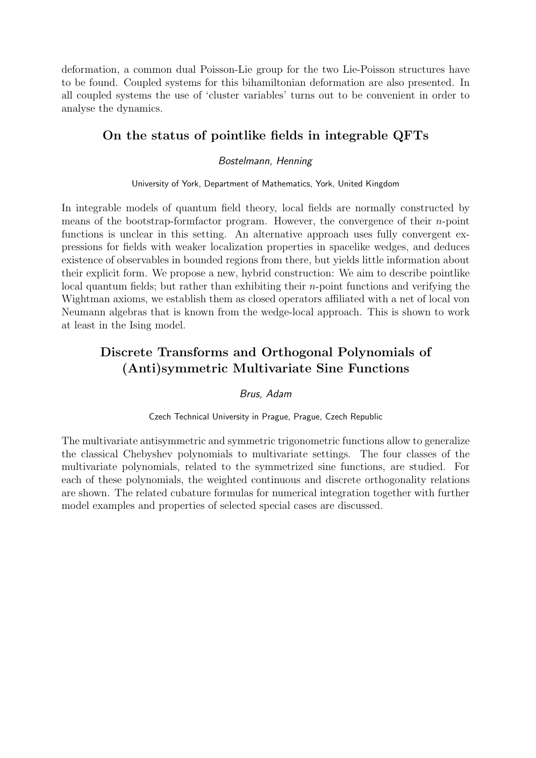deformation, a common dual Poisson-Lie group for the two Lie-Poisson structures have to be found. Coupled systems for this bihamiltonian deformation are also presented. In all coupled systems the use of 'cluster variables' turns out to be convenient in order to analyse the dynamics.

# On the status of pointlike fields in integrable QFTs

### Bostelmann, Henning

University of York, Department of Mathematics, York, United Kingdom

In integrable models of quantum field theory, local fields are normally constructed by means of the bootstrap-formfactor program. However, the convergence of their  $n$ -point functions is unclear in this setting. An alternative approach uses fully convergent expressions for fields with weaker localization properties in spacelike wedges, and deduces existence of observables in bounded regions from there, but yields little information about their explicit form. We propose a new, hybrid construction: We aim to describe pointlike local quantum fields; but rather than exhibiting their n-point functions and verifying the Wightman axioms, we establish them as closed operators affiliated with a net of local von Neumann algebras that is known from the wedge-local approach. This is shown to work at least in the Ising model.

# Discrete Transforms and Orthogonal Polynomials of (Anti)symmetric Multivariate Sine Functions

### Brus, Adam

### Czech Technical University in Prague, Prague, Czech Republic

The multivariate antisymmetric and symmetric trigonometric functions allow to generalize the classical Chebyshev polynomials to multivariate settings. The four classes of the multivariate polynomials, related to the symmetrized sine functions, are studied. For each of these polynomials, the weighted continuous and discrete orthogonality relations are shown. The related cubature formulas for numerical integration together with further model examples and properties of selected special cases are discussed.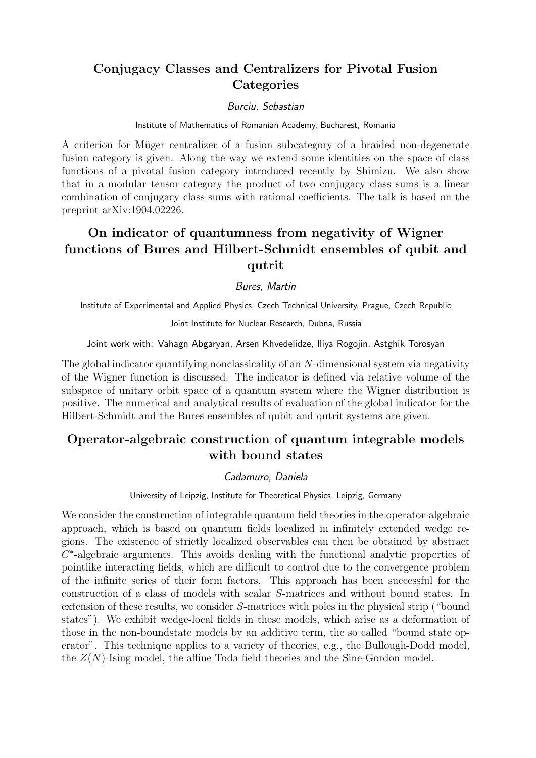# Conjugacy Classes and Centralizers for Pivotal Fusion **Categories**

### Burciu, Sebastian

### Institute of Mathematics of Romanian Academy, Bucharest, Romania

A criterion for Müger centralizer of a fusion subcategory of a braided non-degenerate fusion category is given. Along the way we extend some identities on the space of class functions of a pivotal fusion category introduced recently by Shimizu. We also show that in a modular tensor category the product of two conjugacy class sums is a linear combination of conjugacy class sums with rational coefficients. The talk is based on the preprint arXiv:1904.02226.

# On indicator of quantumness from negativity of Wigner functions of Bures and Hilbert-Schmidt ensembles of qubit and qutrit

### Bures, Martin

Institute of Experimental and Applied Physics, Czech Technical University, Prague, Czech Republic

### Joint Institute for Nuclear Research, Dubna, Russia

Joint work with: Vahagn Abgaryan, Arsen Khvedelidze, Iliya Rogojin, Astghik Torosyan

The global indicator quantifying nonclassicality of an N-dimensional system via negativity of the Wigner function is discussed. The indicator is defined via relative volume of the subspace of unitary orbit space of a quantum system where the Wigner distribution is positive. The numerical and analytical results of evaluation of the global indicator for the Hilbert-Schmidt and the Bures ensembles of qubit and qutrit systems are given.

# Operator-algebraic construction of quantum integrable models with bound states

### Cadamuro, Daniela

University of Leipzig, Institute for Theoretical Physics, Leipzig, Germany

We consider the construction of integrable quantum field theories in the operator-algebraic approach, which is based on quantum fields localized in infinitely extended wedge regions. The existence of strictly localized observables can then be obtained by abstract  $C^*$ -algebraic arguments. This avoids dealing with the functional analytic properties of pointlike interacting fields, which are difficult to control due to the convergence problem of the infinite series of their form factors. This approach has been successful for the construction of a class of models with scalar S-matrices and without bound states. In extension of these results, we consider S-matrices with poles in the physical strip ("bound states"). We exhibit wedge-local fields in these models, which arise as a deformation of those in the non-boundstate models by an additive term, the so called "bound state operator". This technique applies to a variety of theories, e.g., the Bullough-Dodd model, the  $Z(N)$ -Ising model, the affine Toda field theories and the Sine-Gordon model.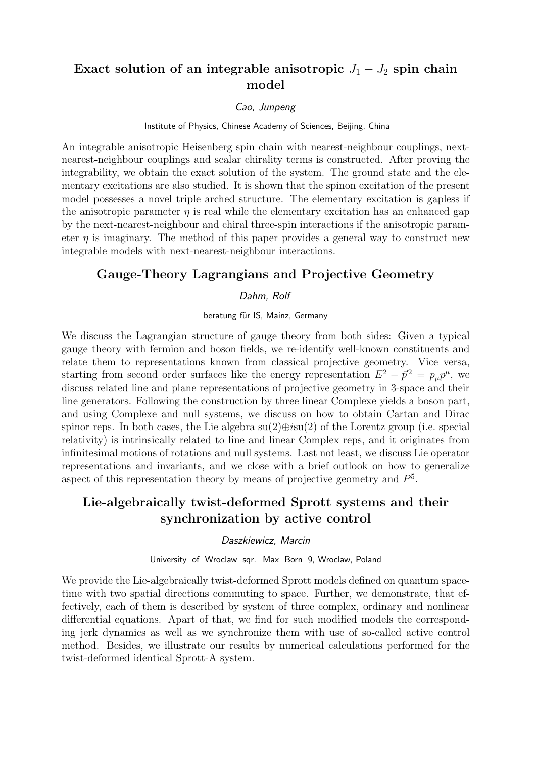# Exact solution of an integrable anisotropic  $J_1 - J_2$  spin chain model

### Cao, Junpeng

Institute of Physics, Chinese Academy of Sciences, Beijing, China

An integrable anisotropic Heisenberg spin chain with nearest-neighbour couplings, nextnearest-neighbour couplings and scalar chirality terms is constructed. After proving the integrability, we obtain the exact solution of the system. The ground state and the elementary excitations are also studied. It is shown that the spinon excitation of the present model possesses a novel triple arched structure. The elementary excitation is gapless if the anisotropic parameter  $\eta$  is real while the elementary excitation has an enhanced gap by the next-nearest-neighbour and chiral three-spin interactions if the anisotropic parameter  $\eta$  is imaginary. The method of this paper provides a general way to construct new integrable models with next-nearest-neighbour interactions.

### Gauge-Theory Lagrangians and Projective Geometry

### Dahm, Rolf

beratung für IS, Mainz, Germany

We discuss the Lagrangian structure of gauge theory from both sides: Given a typical gauge theory with fermion and boson fields, we re-identify well-known constituents and relate them to representations known from classical projective geometry. Vice versa, starting from second order surfaces like the energy representation  $E^2 - \vec{p}^2 = p_\mu p^\mu$ , we discuss related line and plane representations of projective geometry in 3-space and their line generators. Following the construction by three linear Complexe yields a boson part, and using Complexe and null systems, we discuss on how to obtain Cartan and Dirac spinor reps. In both cases, the Lie algebra  $su(2) \oplus i su(2)$  of the Lorentz group (i.e. special relativity) is intrinsically related to line and linear Complex reps, and it originates from infinitesimal motions of rotations and null systems. Last not least, we discuss Lie operator representations and invariants, and we close with a brief outlook on how to generalize aspect of this representation theory by means of projective geometry and  $P^5$ .

# Lie-algebraically twist-deformed Sprott systems and their synchronization by active control

#### Daszkiewicz, Marcin

University of Wroclaw sqr. Max Born 9, Wroclaw, Poland

We provide the Lie-algebraically twist-deformed Sprott models defined on quantum spacetime with two spatial directions commuting to space. Further, we demonstrate, that effectively, each of them is described by system of three complex, ordinary and nonlinear differential equations. Apart of that, we find for such modified models the corresponding jerk dynamics as well as we synchronize them with use of so-called active control method. Besides, we illustrate our results by numerical calculations performed for the twist-deformed identical Sprott-A system.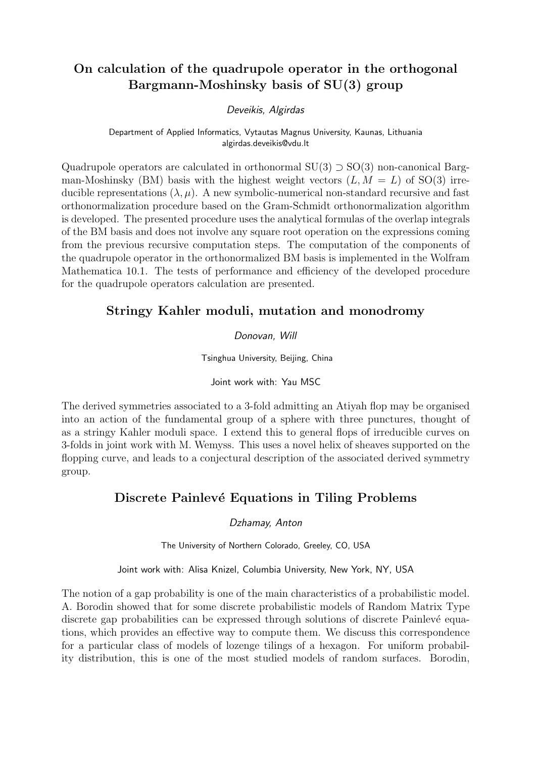# On calculation of the quadrupole operator in the orthogonal Bargmann-Moshinsky basis of SU(3) group

### Deveikis, Algirdas

Department of Applied Informatics, Vytautas Magnus University, Kaunas, Lithuania algirdas.deveikis@vdu.lt

Quadrupole operators are calculated in orthonormal  $SU(3) \supset SO(3)$  non-canonical Bargman-Moshinsky (BM) basis with the highest weight vectors  $(L, M = L)$  of SO(3) irreducible representations  $(\lambda, \mu)$ . A new symbolic-numerical non-standard recursive and fast orthonormalization procedure based on the Gram-Schmidt orthonormalization algorithm is developed. The presented procedure uses the analytical formulas of the overlap integrals of the BM basis and does not involve any square root operation on the expressions coming from the previous recursive computation steps. The computation of the components of the quadrupole operator in the orthonormalized BM basis is implemented in the Wolfram Mathematica 10.1. The tests of performance and efficiency of the developed procedure for the quadrupole operators calculation are presented.

# Stringy Kahler moduli, mutation and monodromy

### Donovan, Will

Tsinghua University, Beijing, China

Joint work with: Yau MSC

The derived symmetries associated to a 3-fold admitting an Atiyah flop may be organised into an action of the fundamental group of a sphere with three punctures, thought of as a stringy Kahler moduli space. I extend this to general flops of irreducible curves on 3-folds in joint work with M. Wemyss. This uses a novel helix of sheaves supported on the flopping curve, and leads to a conjectural description of the associated derived symmetry group.

### Discrete Painlevé Equations in Tiling Problems

Dzhamay, Anton

The University of Northern Colorado, Greeley, CO, USA

Joint work with: Alisa Knizel, Columbia University, New York, NY, USA

The notion of a gap probability is one of the main characteristics of a probabilistic model. A. Borodin showed that for some discrete probabilistic models of Random Matrix Type discrete gap probabilities can be expressed through solutions of discrete Painlevé equations, which provides an effective way to compute them. We discuss this correspondence for a particular class of models of lozenge tilings of a hexagon. For uniform probability distribution, this is one of the most studied models of random surfaces. Borodin,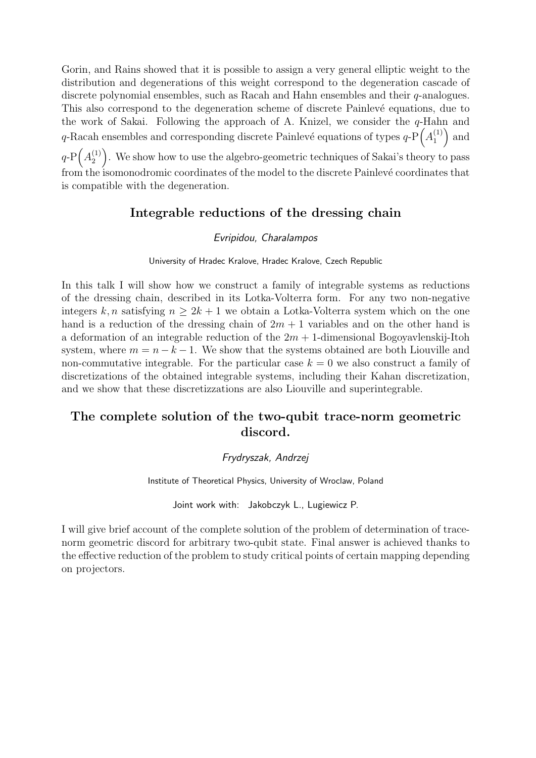Gorin, and Rains showed that it is possible to assign a very general elliptic weight to the distribution and degenerations of this weight correspond to the degeneration cascade of discrete polynomial ensembles, such as Racah and Hahn ensembles and their q-analogues. This also correspond to the degeneration scheme of discrete Painlevé equations, due to the work of Sakai. Following the approach of A. Knizel, we consider the  $q$ -Hahn and q-Racah ensembles and corresponding discrete Painlevé equations of types  $q$ -P $\left(A_1^{(1)}\right)$  $\binom{1}{1}$  and  $q$ -P $\left(A_2^{(1)}\right)$  $\binom{1}{2}$ . We show how to use the algebro-geometric techniques of Sakai's theory to pass from the isomonodromic coordinates of the model to the discrete Painlevé coordinates that is compatible with the degeneration.

### Integrable reductions of the dressing chain

### Evripidou, Charalampos

University of Hradec Kralove, Hradec Kralove, Czech Republic

In this talk I will show how we construct a family of integrable systems as reductions of the dressing chain, described in its Lotka-Volterra form. For any two non-negative integers k, n satisfying  $n \geq 2k+1$  we obtain a Lotka-Volterra system which on the one hand is a reduction of the dressing chain of  $2m + 1$  variables and on the other hand is a deformation of an integrable reduction of the  $2m + 1$ -dimensional Bogoyavlenskij-Itoh system, where  $m = n - k - 1$ . We show that the systems obtained are both Liouville and non-commutative integrable. For the particular case  $k = 0$  we also construct a family of discretizations of the obtained integrable systems, including their Kahan discretization, and we show that these discretizzations are also Liouville and superintegrable.

# The complete solution of the two-qubit trace-norm geometric discord.

### Frydryszak, Andrzej

Institute of Theoretical Physics, University of Wroclaw, Poland

Joint work with: Jakobczyk L., Lugiewicz P.

I will give brief account of the complete solution of the problem of determination of tracenorm geometric discord for arbitrary two-qubit state. Final answer is achieved thanks to the effective reduction of the problem to study critical points of certain mapping depending on projectors.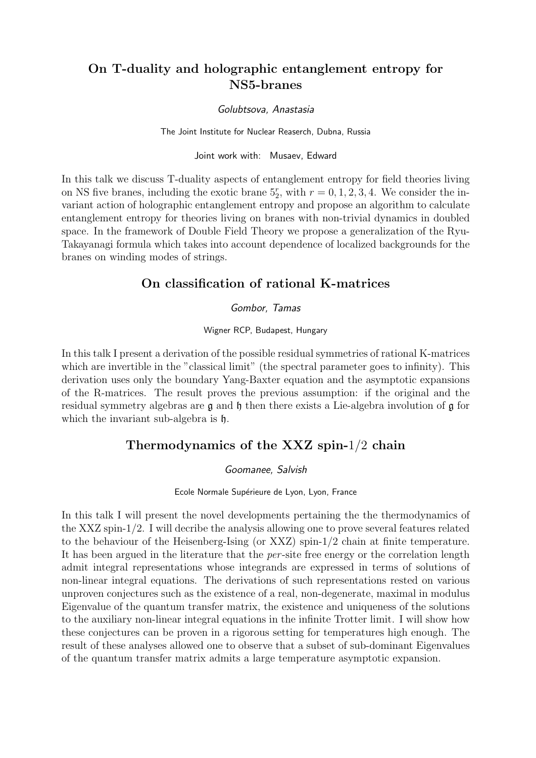# On T-duality and holographic entanglement entropy for NS5-branes

### Golubtsova, Anastasia

The Joint Institute for Nuclear Reaserch, Dubna, Russia

Joint work with: Musaev, Edward

In this talk we discuss T-duality aspects of entanglement entropy for field theories living on NS five branes, including the exotic brane  $5^r_2$ , with  $r = 0, 1, 2, 3, 4$ . We consider the invariant action of holographic entanglement entropy and propose an algorithm to calculate entanglement entropy for theories living on branes with non-trivial dynamics in doubled space. In the framework of Double Field Theory we propose a generalization of the Ryu-Takayanagi formula which takes into account dependence of localized backgrounds for the branes on winding modes of strings.

# On classification of rational K-matrices

### Gombor, Tamas

### Wigner RCP, Budapest, Hungary

In this talk I present a derivation of the possible residual symmetries of rational K-matrices which are invertible in the "classical limit" (the spectral parameter goes to infinity). This derivation uses only the boundary Yang-Baxter equation and the asymptotic expansions of the R-matrices. The result proves the previous assumption: if the original and the residual symmetry algebras are  $\mathfrak g$  and  $\mathfrak h$  then there exists a Lie-algebra involution of  $\mathfrak g$  for which the invariant sub-algebra is  $\mathfrak h$ .

### Thermodynamics of the XXZ spin-1/2 chain

### Goomanee, Salvish

### Ecole Normale Supérieure de Lyon, Lyon, France

In this talk I will present the novel developments pertaining the the thermodynamics of the XXZ spin-1/2. I will decribe the analysis allowing one to prove several features related to the behaviour of the Heisenberg-Ising (or XXZ) spin-1/2 chain at finite temperature. It has been argued in the literature that the *per*-site free energy or the correlation length admit integral representations whose integrands are expressed in terms of solutions of non-linear integral equations. The derivations of such representations rested on various unproven conjectures such as the existence of a real, non-degenerate, maximal in modulus Eigenvalue of the quantum transfer matrix, the existence and uniqueness of the solutions to the auxiliary non-linear integral equations in the infinite Trotter limit. I will show how these conjectures can be proven in a rigorous setting for temperatures high enough. The result of these analyses allowed one to observe that a subset of sub-dominant Eigenvalues of the quantum transfer matrix admits a large temperature asymptotic expansion.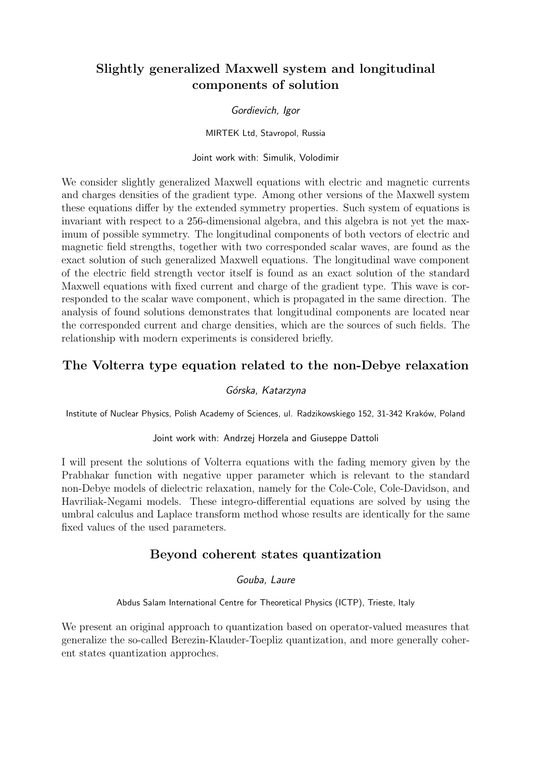# Slightly generalized Maxwell system and longitudinal components of solution

### Gordievich, Igor

MIRTEK Ltd, Stavropol, Russia

Joint work with: Simulik, Volodimir

We consider slightly generalized Maxwell equations with electric and magnetic currents and charges densities of the gradient type. Among other versions of the Maxwell system these equations differ by the extended symmetry properties. Such system of equations is invariant with respect to a 256-dimensional algebra, and this algebra is not yet the maximum of possible symmetry. The longitudinal components of both vectors of electric and magnetic field strengths, together with two corresponded scalar waves, are found as the exact solution of such generalized Maxwell equations. The longitudinal wave component of the electric field strength vector itself is found as an exact solution of the standard Maxwell equations with fixed current and charge of the gradient type. This wave is corresponded to the scalar wave component, which is propagated in the same direction. The analysis of found solutions demonstrates that longitudinal components are located near the corresponded current and charge densities, which are the sources of such fields. The relationship with modern experiments is considered briefly.

# The Volterra type equation related to the non-Debye relaxation

### Górska, Katarzyna

Institute of Nuclear Physics, Polish Academy of Sciences, ul. Radzikowskiego 152, 31-342 Kraków, Poland

Joint work with: Andrzej Horzela and Giuseppe Dattoli

I will present the solutions of Volterra equations with the fading memory given by the Prabhakar function with negative upper parameter which is relevant to the standard non-Debye models of dielectric relaxation, namely for the Cole-Cole, Cole-Davidson, and Havriliak-Negami models. These integro-differential equations are solved by using the umbral calculus and Laplace transform method whose results are identically for the same fixed values of the used parameters.

# Beyond coherent states quantization

Gouba, Laure

Abdus Salam International Centre for Theoretical Physics (ICTP), Trieste, Italy

We present an original approach to quantization based on operator-valued measures that generalize the so-called Berezin-Klauder-Toepliz quantization, and more generally coherent states quantization approches.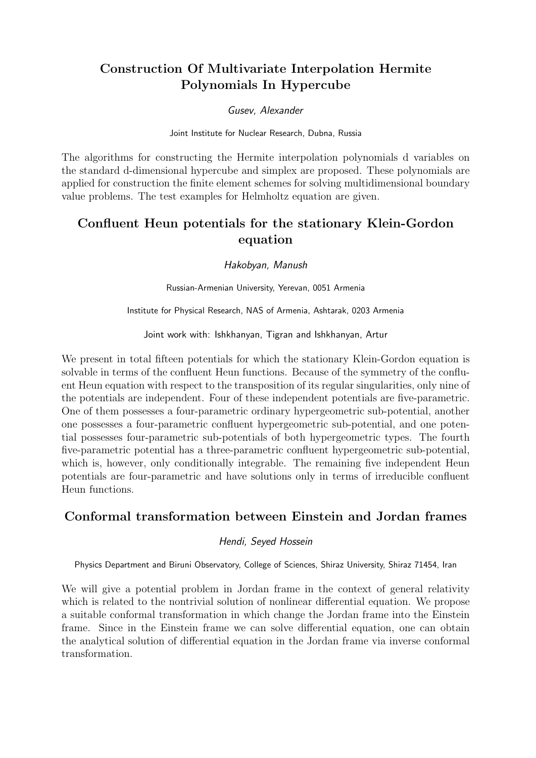# Construction Of Multivariate Interpolation Hermite Polynomials In Hypercube

Gusev, Alexander

Joint Institute for Nuclear Research, Dubna, Russia

The algorithms for constructing the Hermite interpolation polynomials d variables on the standard d-dimensional hypercube and simplex are proposed. These polynomials are applied for construction the finite element schemes for solving multidimensional boundary value problems. The test examples for Helmholtz equation are given.

# Confluent Heun potentials for the stationary Klein-Gordon equation

Hakobyan, Manush

Russian-Armenian University, Yerevan, 0051 Armenia

Institute for Physical Research, NAS of Armenia, Ashtarak, 0203 Armenia

Joint work with: Ishkhanyan, Tigran and Ishkhanyan, Artur

We present in total fifteen potentials for which the stationary Klein-Gordon equation is solvable in terms of the confluent Heun functions. Because of the symmetry of the confluent Heun equation with respect to the transposition of its regular singularities, only nine of the potentials are independent. Four of these independent potentials are five-parametric. One of them possesses a four-parametric ordinary hypergeometric sub-potential, another one possesses a four-parametric confluent hypergeometric sub-potential, and one potential possesses four-parametric sub-potentials of both hypergeometric types. The fourth five-parametric potential has a three-parametric confluent hypergeometric sub-potential, which is, however, only conditionally integrable. The remaining five independent Heun potentials are four-parametric and have solutions only in terms of irreducible confluent Heun functions.

# Conformal transformation between Einstein and Jordan frames

### Hendi, Seyed Hossein

Physics Department and Biruni Observatory, College of Sciences, Shiraz University, Shiraz 71454, Iran

We will give a potential problem in Jordan frame in the context of general relativity which is related to the nontrivial solution of nonlinear differential equation. We propose a suitable conformal transformation in which change the Jordan frame into the Einstein frame. Since in the Einstein frame we can solve differential equation, one can obtain the analytical solution of differential equation in the Jordan frame via inverse conformal transformation.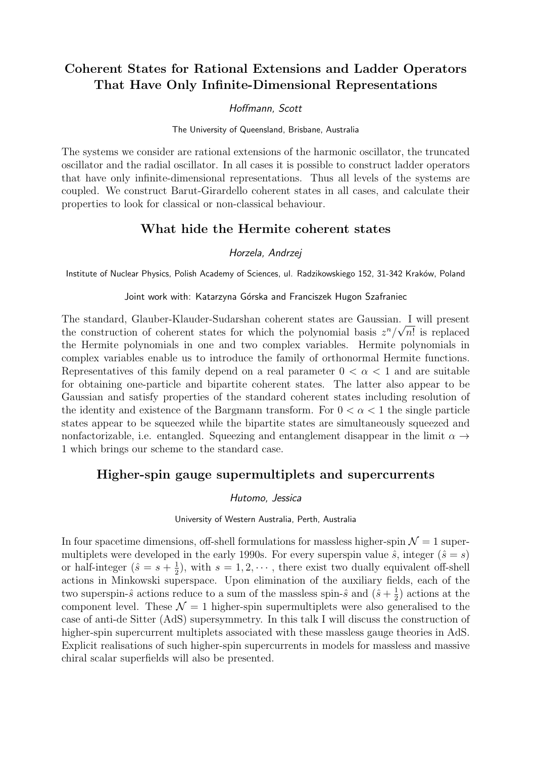# Coherent States for Rational Extensions and Ladder Operators That Have Only Infinite-Dimensional Representations

### Hoffmann, Scott

The University of Queensland, Brisbane, Australia

The systems we consider are rational extensions of the harmonic oscillator, the truncated oscillator and the radial oscillator. In all cases it is possible to construct ladder operators that have only infinite-dimensional representations. Thus all levels of the systems are coupled. We construct Barut-Girardello coherent states in all cases, and calculate their properties to look for classical or non-classical behaviour.

### What hide the Hermite coherent states

### Horzela, Andrzej

Institute of Nuclear Physics, Polish Academy of Sciences, ul. Radzikowskiego 152, 31-342 Kraków, Poland

Joint work with: Katarzyna Górska and Franciszek Hugon Szafraniec

The standard, Glauber-Klauder-Sudarshan coherent states are Gaussian. I will present √ the construction of coherent states for which the polynomial basis  $z^n/\sqrt{n!}$  is replaced the Hermite polynomials in one and two complex variables. Hermite polynomials in complex variables enable us to introduce the family of orthonormal Hermite functions. Representatives of this family depend on a real parameter  $0 < \alpha < 1$  and are suitable for obtaining one-particle and bipartite coherent states. The latter also appear to be Gaussian and satisfy properties of the standard coherent states including resolution of the identity and existence of the Bargmann transform. For  $0 < \alpha < 1$  the single particle states appear to be squeezed while the bipartite states are simultaneously squeezed and nonfactorizable, i.e. entangled. Squeezing and entanglement disappear in the limit  $\alpha \rightarrow$ 1 which brings our scheme to the standard case.

### Higher-spin gauge supermultiplets and supercurrents

### Hutomo, Jessica

University of Western Australia, Perth, Australia

In four spacetime dimensions, off-shell formulations for massless higher-spin  $\mathcal{N} = 1$  supermultiplets were developed in the early 1990s. For every superspin value  $\hat{s}$ , integer  $(\hat{s} = s)$ or half-integer  $(\hat{s} = s + \frac{1}{2})$  $\frac{1}{2}$ , with  $s = 1, 2, \cdots$ , there exist two dually equivalent off-shell actions in Minkowski superspace. Upon elimination of the auxiliary fields, each of the two superspin- $\hat{s}$  actions reduce to a sum of the massless spin- $\hat{s}$  and  $(\hat{s} + \frac{1}{2})$  $(\frac{1}{2})$  actions at the component level. These  $\mathcal{N} = 1$  higher-spin supermultiplets were also generalised to the case of anti-de Sitter (AdS) supersymmetry. In this talk I will discuss the construction of higher-spin supercurrent multiplets associated with these massless gauge theories in AdS. Explicit realisations of such higher-spin supercurrents in models for massless and massive chiral scalar superfields will also be presented.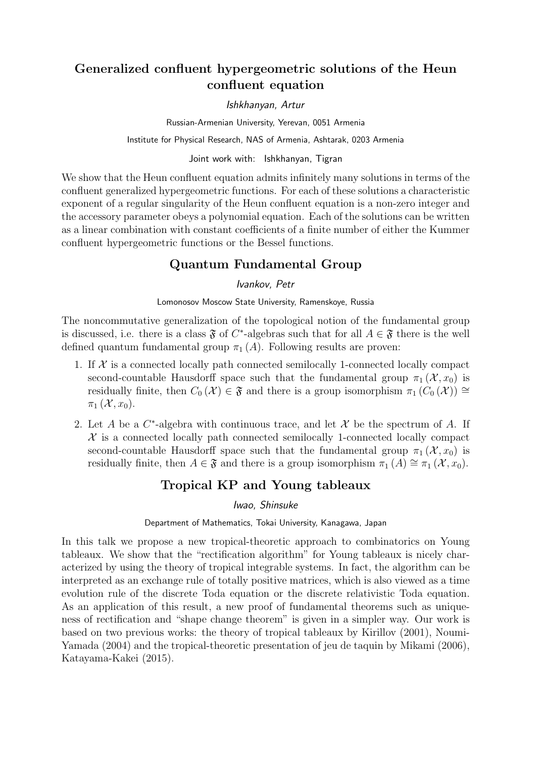# Generalized confluent hypergeometric solutions of the Heun confluent equation

Ishkhanyan, Artur

Russian-Armenian University, Yerevan, 0051 Armenia

Institute for Physical Research, NAS of Armenia, Ashtarak, 0203 Armenia

### Joint work with: Ishkhanyan, Tigran

We show that the Heun confluent equation admits infinitely many solutions in terms of the confluent generalized hypergeometric functions. For each of these solutions a characteristic exponent of a regular singularity of the Heun confluent equation is a non-zero integer and the accessory parameter obeys a polynomial equation. Each of the solutions can be written as a linear combination with constant coefficients of a finite number of either the Kummer confluent hypergeometric functions or the Bessel functions.

# Quantum Fundamental Group

### Ivankov, Petr

Lomonosov Moscow State University, Ramenskoye, Russia

The noncommutative generalization of the topological notion of the fundamental group is discussed, i.e. there is a class  $\mathfrak F$  of C<sup>\*</sup>-algebras such that for all  $A \in \mathfrak F$  there is the well defined quantum fundamental group  $\pi_1(A)$ . Following results are proven:

- 1. If  $X$  is a connected locally path connected semilocally 1-connected locally compact second-countable Hausdorff space such that the fundamental group  $\pi_1(\mathcal{X}, x_0)$  is residually finite, then  $C_0(\mathcal{X}) \in \mathfrak{F}$  and there is a group isomorphism  $\pi_1(C_0(\mathcal{X})) \cong$  $\pi_1(\mathcal{X}, x_0)$ .
- 2. Let A be a  $C^*$ -algebra with continuous trace, and let X be the spectrum of A. If  $X$  is a connected locally path connected semilocally 1-connected locally compact second-countable Hausdorff space such that the fundamental group  $\pi_1 (\mathcal{X}, x_0)$  is residually finite, then  $A \in \mathfrak{F}$  and there is a group isomorphism  $\pi_1(A) \cong \pi_1(\mathcal{X}, x_0)$ .

# Tropical KP and Young tableaux

### Iwao, Shinsuke

### Department of Mathematics, Tokai University, Kanagawa, Japan

In this talk we propose a new tropical-theoretic approach to combinatorics on Young tableaux. We show that the "rectification algorithm" for Young tableaux is nicely characterized by using the theory of tropical integrable systems. In fact, the algorithm can be interpreted as an exchange rule of totally positive matrices, which is also viewed as a time evolution rule of the discrete Toda equation or the discrete relativistic Toda equation. As an application of this result, a new proof of fundamental theorems such as uniqueness of rectification and "shape change theorem" is given in a simpler way. Our work is based on two previous works: the theory of tropical tableaux by Kirillov (2001), Noumi-Yamada (2004) and the tropical-theoretic presentation of jeu de taquin by Mikami (2006), Katayama-Kakei (2015).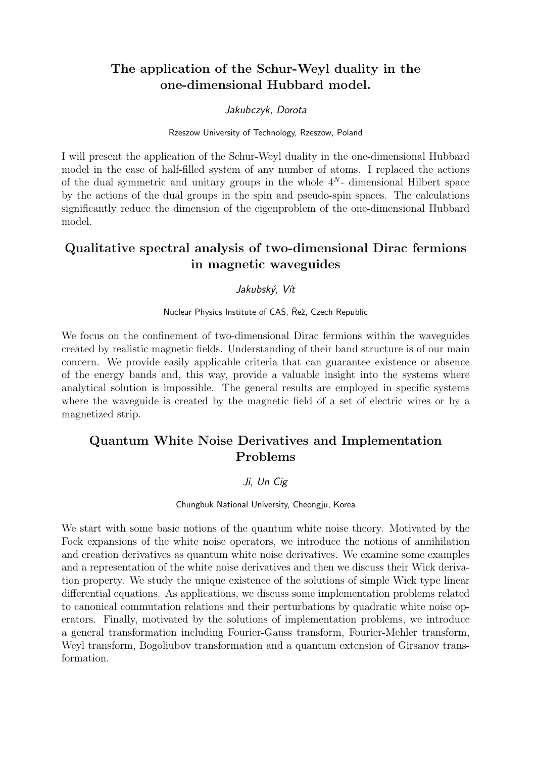# The application of the Schur-Weyl duality in the one-dimensional Hubbard model.

### Jakubczyk, Dorota

Rzeszow University of Technology, Rzeszow, Poland

I will present the application of the Schur-Weyl duality in the one-dimensional Hubbard model in the case of half-filled system of any number of atoms. I replaced the actions of the dual symmetric and unitary groups in the whole  $4^N$ - dimensional Hilbert space by the actions of the dual groups in the spin and pseudo-spin spaces. The calculations significantly reduce the dimension of the eigenproblem of the one-dimensional Hubbard model.

# Qualitative spectral analysis of two-dimensional Dirac fermions in magnetic waveguides

### Jakubský, Vít

Nuclear Physics Institute of CAS, Řež, Czech Republic

We focus on the confinement of two-dimensional Dirac fermions within the waveguides created by realistic magnetic fields. Understanding of their band structure is of our main concern. We provide easily applicable criteria that can guarantee existence or absence of the energy bands and, this way, provide a valuable insight into the systems where analytical solution is impossible. The general results are employed in specific systems where the waveguide is created by the magnetic field of a set of electric wires or by a magnetized strip.

# Quantum White Noise Derivatives and Implementation Problems

### Ji, Un Cig

Chungbuk National University, Cheongju, Korea

We start with some basic notions of the quantum white noise theory. Motivated by the Fock expansions of the white noise operators, we introduce the notions of annihilation and creation derivatives as quantum white noise derivatives. We examine some examples and a representation of the white noise derivatives and then we discuss their Wick derivation property. We study the unique existence of the solutions of simple Wick type linear differential equations. As applications, we discuss some implementation problems related to canonical commutation relations and their perturbations by quadratic white noise operators. Finally, motivated by the solutions of implementation problems, we introduce a general transformation including Fourier-Gauss transform, Fourier-Mehler transform, Weyl transform, Bogoliubov transformation and a quantum extension of Girsanov transformation.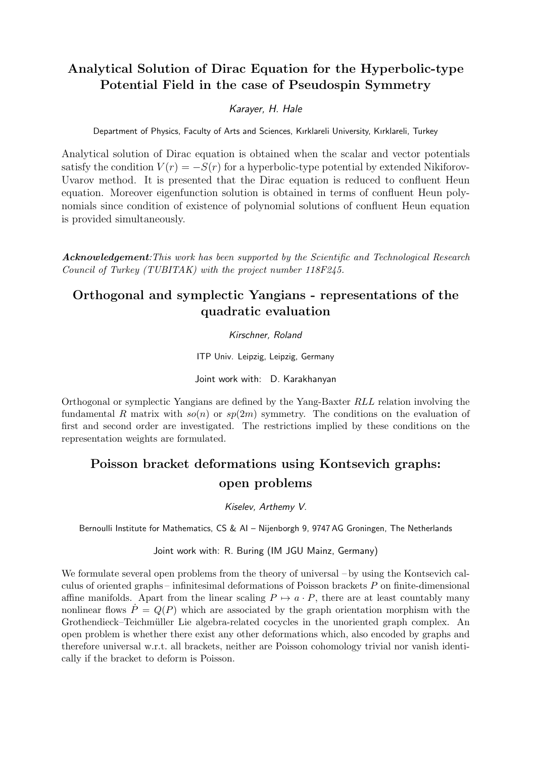# Analytical Solution of Dirac Equation for the Hyperbolic-type Potential Field in the case of Pseudospin Symmetry

### Karayer, H. Hale

Department of Physics, Faculty of Arts and Sciences, Kırklareli University, Kırklareli, Turkey

Analytical solution of Dirac equation is obtained when the scalar and vector potentials satisfy the condition  $V(r) = -S(r)$  for a hyperbolic-type potential by extended Nikiforov-Uvarov method. It is presented that the Dirac equation is reduced to confluent Heun equation. Moreover eigenfunction solution is obtained in terms of confluent Heun polynomials since condition of existence of polynomial solutions of confluent Heun equation is provided simultaneously.

Acknowledgement: This work has been supported by the Scientific and Technological Research Council of Turkey (TUBITAK) with the project number 118F245.

# Orthogonal and symplectic Yangians - representations of the quadratic evaluation

Kirschner, Roland

ITP Univ. Leipzig, Leipzig, Germany

Joint work with: D. Karakhanyan

Orthogonal or symplectic Yangians are defined by the Yang-Baxter RLL relation involving the fundamental R matrix with  $so(n)$  or  $sp(2m)$  symmetry. The conditions on the evaluation of first and second order are investigated. The restrictions implied by these conditions on the representation weights are formulated.

# Poisson bracket deformations using Kontsevich graphs: open problems

Kiselev, Arthemy V.

Bernoulli Institute for Mathematics, CS & AI – Nijenborgh 9, 9747 AG Groningen, The Netherlands

Joint work with: R. Buring (IM JGU Mainz, Germany)

We formulate several open problems from the theory of universal – by using the Kontsevich calculus of oriented graphs – infinitesimal deformations of Poisson brackets  $P$  on finite-dimensional affine manifolds. Apart from the linear scaling  $P \mapsto a \cdot P$ , there are at least countably many nonlinear flows  $\dot{P} = Q(P)$  which are associated by the graph orientation morphism with the Grothendieck–Teichmüller Lie algebra-related cocycles in the unoriented graph complex. An open problem is whether there exist any other deformations which, also encoded by graphs and therefore universal w.r.t. all brackets, neither are Poisson cohomology trivial nor vanish identically if the bracket to deform is Poisson.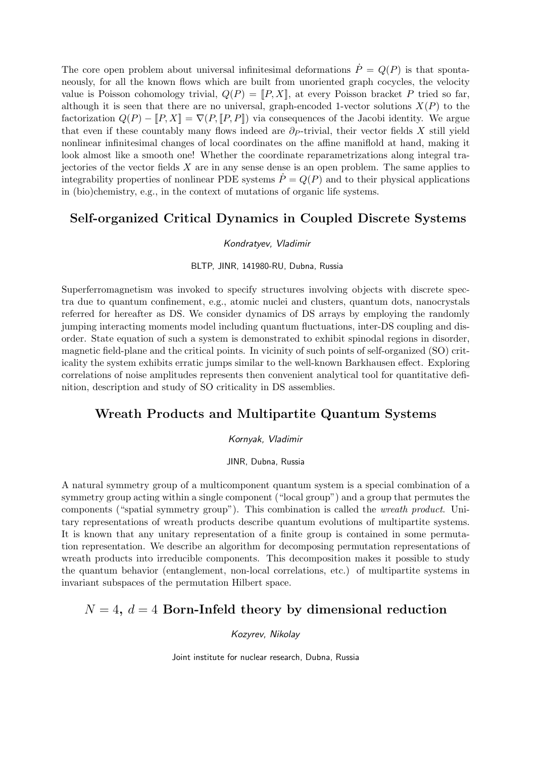The core open problem about universal infinitesimal deformations  $\dot{P} = Q(P)$  is that spontaneously, for all the known flows which are built from unoriented graph cocycles, the velocity value is Poisson cohomology trivial,  $Q(P) = [P, X]$ , at every Poisson bracket P tried so far, although it is seen that there are no universal, graph-encoded 1-vector solutions  $X(P)$  to the factorization  $Q(P) - [P, X] = \nabla(P, [P, P])$  via consequences of the Jacobi identity. We argue that even if these countably many flows indeed are  $\partial p$ -trivial, their vector fields X still yield nonlinear infinitesimal changes of local coordinates on the affine maniflold at hand, making it look almost like a smooth one! Whether the coordinate reparametrizations along integral trajectories of the vector fields  $X$  are in any sense dense is an open problem. The same applies to integrability properties of nonlinear PDE systems  $P = Q(P)$  and to their physical applications in (bio)chemistry, e.g., in the context of mutations of organic life systems.

### Self-organized Critical Dynamics in Coupled Discrete Systems

#### Kondratyev, Vladimir

#### BLTP, JINR, 141980-RU, Dubna, Russia

Superferromagnetism was invoked to specify structures involving objects with discrete spectra due to quantum confinement, e.g., atomic nuclei and clusters, quantum dots, nanocrystals referred for hereafter as DS. We consider dynamics of DS arrays by employing the randomly jumping interacting moments model including quantum fluctuations, inter-DS coupling and disorder. State equation of such a system is demonstrated to exhibit spinodal regions in disorder, magnetic field-plane and the critical points. In vicinity of such points of self-organized (SO) criticality the system exhibits erratic jumps similar to the well-known Barkhausen effect. Exploring correlations of noise amplitudes represents then convenient analytical tool for quantitative definition, description and study of SO criticality in DS assemblies.

### Wreath Products and Multipartite Quantum Systems

#### Kornyak, Vladimir

JINR, Dubna, Russia

A natural symmetry group of a multicomponent quantum system is a special combination of a symmetry group acting within a single component ("local group") and a group that permutes the components ("spatial symmetry group"). This combination is called the wreath product. Unitary representations of wreath products describe quantum evolutions of multipartite systems. It is known that any unitary representation of a finite group is contained in some permutation representation. We describe an algorithm for decomposing permutation representations of wreath products into irreducible components. This decomposition makes it possible to study the quantum behavior (entanglement, non-local correlations, etc.) of multipartite systems in invariant subspaces of the permutation Hilbert space.

### $N = 4$ ,  $d = 4$  Born-Infeld theory by dimensional reduction

Kozyrev, Nikolay

Joint institute for nuclear research, Dubna, Russia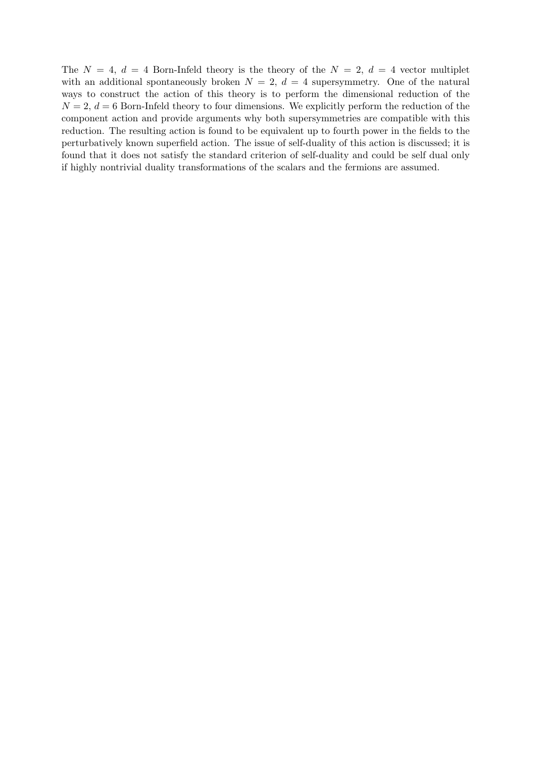The  $N = 4$ ,  $d = 4$  Born-Infeld theory is the theory of the  $N = 2$ ,  $d = 4$  vector multiplet with an additional spontaneously broken  $N = 2$ ,  $d = 4$  supersymmetry. One of the natural ways to construct the action of this theory is to perform the dimensional reduction of the  $N = 2, d = 6$  Born-Infeld theory to four dimensions. We explicitly perform the reduction of the component action and provide arguments why both supersymmetries are compatible with this reduction. The resulting action is found to be equivalent up to fourth power in the fields to the perturbatively known superfield action. The issue of self-duality of this action is discussed; it is found that it does not satisfy the standard criterion of self-duality and could be self dual only if highly nontrivial duality transformations of the scalars and the fermions are assumed.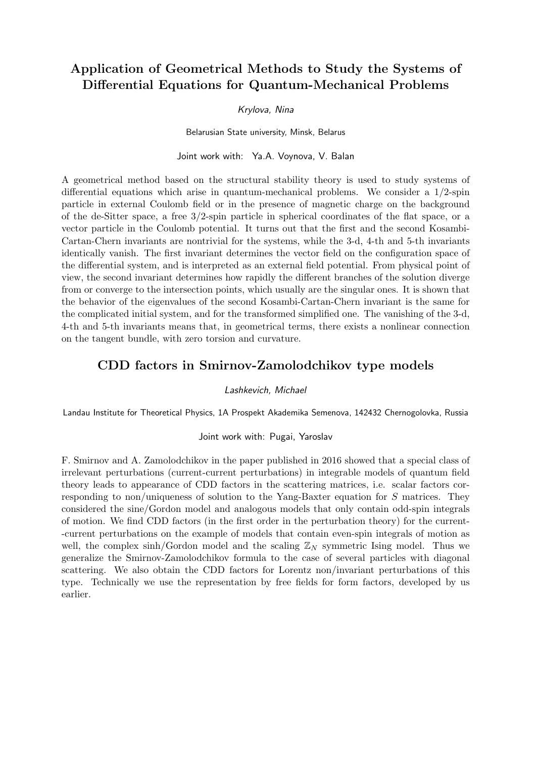# Application of Geometrical Methods to Study the Systems of Differential Equations for Quantum-Mechanical Problems

#### Krylova, Nina

Belarusian State university, Minsk, Belarus

Joint work with: Ya.A. Voynova, V. Balan

A geometrical method based on the structural stability theory is used to study systems of differential equations which arise in quantum-mechanical problems. We consider a 1/2-spin particle in external Coulomb field or in the presence of magnetic charge on the background of the de-Sitter space, a free 3/2-spin particle in spherical coordinates of the flat space, or a vector particle in the Coulomb potential. It turns out that the first and the second Kosambi-Cartan-Chern invariants are nontrivial for the systems, while the 3-d, 4-th and 5-th invariants identically vanish. The first invariant determines the vector field on the configuration space of the differential system, and is interpreted as an external field potential. From physical point of view, the second invariant determines how rapidly the different branches of the solution diverge from or converge to the intersection points, which usually are the singular ones. It is shown that the behavior of the eigenvalues of the second Kosambi-Cartan-Chern invariant is the same for the complicated initial system, and for the transformed simplified one. The vanishing of the 3-d, 4-th and 5-th invariants means that, in geometrical terms, there exists a nonlinear connection on the tangent bundle, with zero torsion and curvature.

### CDD factors in Smirnov-Zamolodchikov type models

#### Lashkevich, Michael

Landau Institute for Theoretical Physics, 1A Prospekt Akademika Semenova, 142432 Chernogolovka, Russia

#### Joint work with: Pugai, Yaroslav

F. Smirnov and A. Zamolodchikov in the paper published in 2016 showed that a special class of irrelevant perturbations (current-current perturbations) in integrable models of quantum field theory leads to appearance of CDD factors in the scattering matrices, i.e. scalar factors corresponding to non/uniqueness of solution to the Yang-Baxter equation for S matrices. They considered the sine/Gordon model and analogous models that only contain odd-spin integrals of motion. We find CDD factors (in the first order in the perturbation theory) for the current- -current perturbations on the example of models that contain even-spin integrals of motion as well, the complex sinh/Gordon model and the scaling  $\mathbb{Z}_N$  symmetric Ising model. Thus we generalize the Smirnov-Zamolodchikov formula to the case of several particles with diagonal scattering. We also obtain the CDD factors for Lorentz non/invariant perturbations of this type. Technically we use the representation by free fields for form factors, developed by us earlier.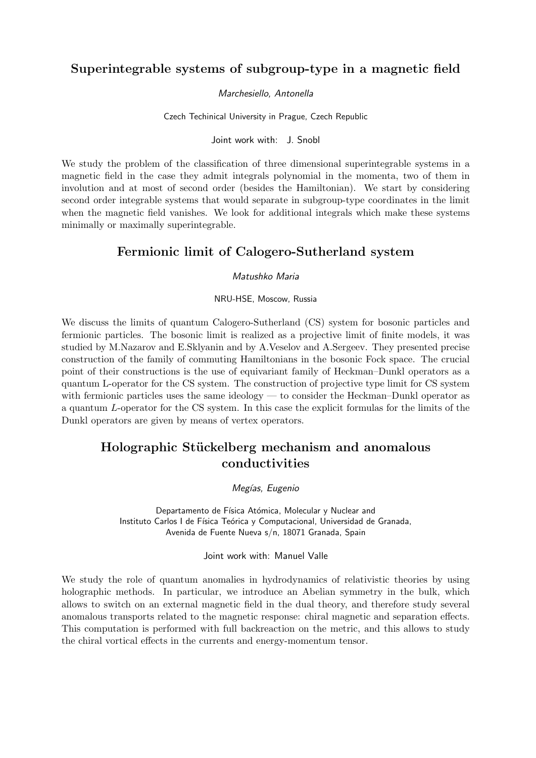# Superintegrable systems of subgroup-type in a magnetic field

### Marchesiello, Antonella

Czech Techinical University in Prague, Czech Republic

Joint work with: J. Snobl

We study the problem of the classification of three dimensional superintegrable systems in a magnetic field in the case they admit integrals polynomial in the momenta, two of them in involution and at most of second order (besides the Hamiltonian). We start by considering second order integrable systems that would separate in subgroup-type coordinates in the limit when the magnetic field vanishes. We look for additional integrals which make these systems minimally or maximally superintegrable.

# Fermionic limit of Calogero-Sutherland system

Matushko Maria

NRU-HSE, Moscow, Russia

We discuss the limits of quantum Calogero-Sutherland (CS) system for bosonic particles and fermionic particles. The bosonic limit is realized as a projective limit of finite models, it was studied by M.Nazarov and E.Sklyanin and by A.Veselov and A.Sergeev. They presented precise construction of the family of commuting Hamiltonians in the bosonic Fock space. The crucial point of their constructions is the use of equivariant family of Heckman–Dunkl operators as a quantum L-operator for the CS system. The construction of projective type limit for CS system with fermionic particles uses the same ideology — to consider the Heckman–Dunkl operator as a quantum L-operator for the CS system. In this case the explicit formulas for the limits of the Dunkl operators are given by means of vertex operators.

# Holographic Stückelberg mechanism and anomalous conductivities

Megías, Eugenio

Departamento de Física Atómica, Molecular y Nuclear and Instituto Carlos I de Física Teórica y Computacional, Universidad de Granada, Avenida de Fuente Nueva s/n, 18071 Granada, Spain

Joint work with: Manuel Valle

We study the role of quantum anomalies in hydrodynamics of relativistic theories by using holographic methods. In particular, we introduce an Abelian symmetry in the bulk, which allows to switch on an external magnetic field in the dual theory, and therefore study several anomalous transports related to the magnetic response: chiral magnetic and separation effects. This computation is performed with full backreaction on the metric, and this allows to study the chiral vortical effects in the currents and energy-momentum tensor.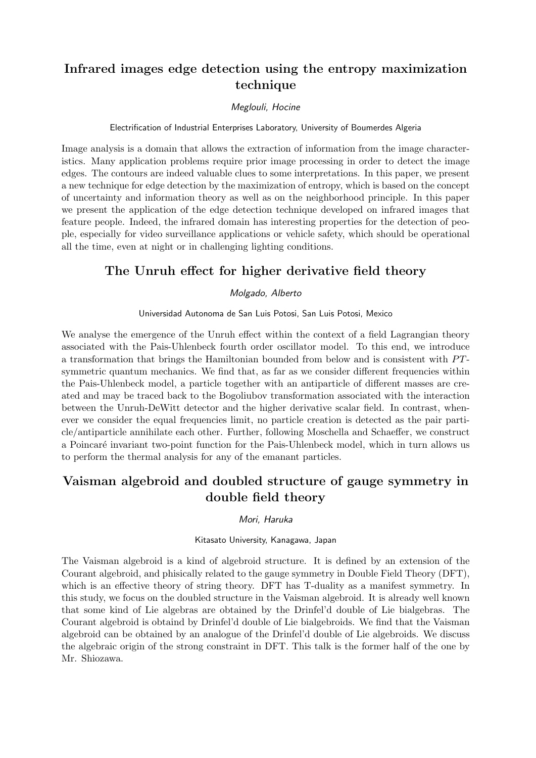# Infrared images edge detection using the entropy maximization technique

### Meglouli, Hocine

#### Electrification of Industrial Enterprises Laboratory, University of Boumerdes Algeria

Image analysis is a domain that allows the extraction of information from the image characteristics. Many application problems require prior image processing in order to detect the image edges. The contours are indeed valuable clues to some interpretations. In this paper, we present a new technique for edge detection by the maximization of entropy, which is based on the concept of uncertainty and information theory as well as on the neighborhood principle. In this paper we present the application of the edge detection technique developed on infrared images that feature people. Indeed, the infrared domain has interesting properties for the detection of people, especially for video surveillance applications or vehicle safety, which should be operational all the time, even at night or in challenging lighting conditions.

### The Unruh effect for higher derivative field theory

### Molgado, Alberto

Universidad Autonoma de San Luis Potosi, San Luis Potosi, Mexico

We analyse the emergence of the Unruh effect within the context of a field Lagrangian theory associated with the Pais-Uhlenbeck fourth order oscillator model. To this end, we introduce a transformation that brings the Hamiltonian bounded from below and is consistent with  $PT$ symmetric quantum mechanics. We find that, as far as we consider different frequencies within the Pais-Uhlenbeck model, a particle together with an antiparticle of different masses are created and may be traced back to the Bogoliubov transformation associated with the interaction between the Unruh-DeWitt detector and the higher derivative scalar field. In contrast, whenever we consider the equal frequencies limit, no particle creation is detected as the pair particle/antiparticle annihilate each other. Further, following Moschella and Schaeffer, we construct a Poincaré invariant two-point function for the Pais-Uhlenbeck model, which in turn allows us to perform the thermal analysis for any of the emanant particles.

# Vaisman algebroid and doubled structure of gauge symmetry in double field theory

#### Mori, Haruka

#### Kitasato University, Kanagawa, Japan

The Vaisman algebroid is a kind of algebroid structure. It is defined by an extension of the Courant algebroid, and phisically related to the gauge symmetry in Double Field Theory (DFT), which is an effective theory of string theory. DFT has T-duality as a manifest symmetry. In this study, we focus on the doubled structure in the Vaisman algebroid. It is already well known that some kind of Lie algebras are obtained by the Drinfel'd double of Lie bialgebras. The Courant algebroid is obtaind by Drinfel'd double of Lie bialgebroids. We find that the Vaisman algebroid can be obtained by an analogue of the Drinfel'd double of Lie algebroids. We discuss the algebraic origin of the strong constraint in DFT. This talk is the former half of the one by Mr. Shiozawa.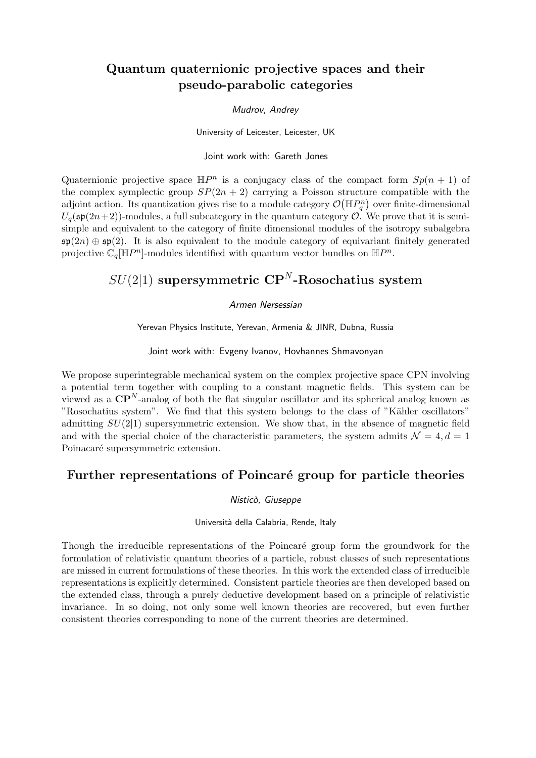# Quantum quaternionic projective spaces and their pseudo-parabolic categories

### Mudrov, Andrey

University of Leicester, Leicester, UK

Joint work with: Gareth Jones

Quaternionic projective space  $\mathbb{H}P^n$  is a conjugacy class of the compact form  $Sp(n + 1)$  of the complex symplectic group  $SP(2n + 2)$  carrying a Poisson structure compatible with the adjoint action. Its quantization gives rise to a module category  $\mathcal{O}(\mathbb{H}P^n_q)$  over finite-dimensional  $U_q(\mathfrak{sp}(2n+2))$ -modules, a full subcategory in the quantum category  $\mathcal O$ . We prove that it is semisimple and equivalent to the category of finite dimensional modules of the isotropy subalgebra  $\mathfrak{sp}(2n) \oplus \mathfrak{sp}(2)$ . It is also equivalent to the module category of equivariant finitely generated projective  $\mathbb{C}_q[\mathbb{H}P^n]$ -modules identified with quantum vector bundles on  $\mathbb{H}P^n$ .

# $SU(2|1)$  supersymmetric CP<sup>N</sup>-Rosochatius system

### Armen Nersessian

Yerevan Physics Institute, Yerevan, Armenia & JINR, Dubna, Russia

Joint work with: Evgeny Ivanov, Hovhannes Shmavonyan

We propose superintegrable mechanical system on the complex projective space CPN involving a potential term together with coupling to a constant magnetic fields. This system can be viewed as a  $\mathbf{CP}^{N}$ -analog of both the flat singular oscillator and its spherical analog known as "Rosochatius system". We find that this system belongs to the class of "Kähler oscillators" admitting  $SU(2|1)$  supersymmetric extension. We show that, in the absence of magnetic field and with the special choice of the characteristic parameters, the system admits  $\mathcal{N} = 4, d = 1$ Poinacaré supersymmetric extension.

### Further representations of Poincaré group for particle theories

Nisticò, Giuseppe

#### Università della Calabria, Rende, Italy

Though the irreducible representations of the Poincaré group form the groundwork for the formulation of relativistic quantum theories of a particle, robust classes of such representations are missed in current formulations of these theories. In this work the extended class of irreducible representations is explicitly determined. Consistent particle theories are then developed based on the extended class, through a purely deductive development based on a principle of relativistic invariance. In so doing, not only some well known theories are recovered, but even further consistent theories corresponding to none of the current theories are determined.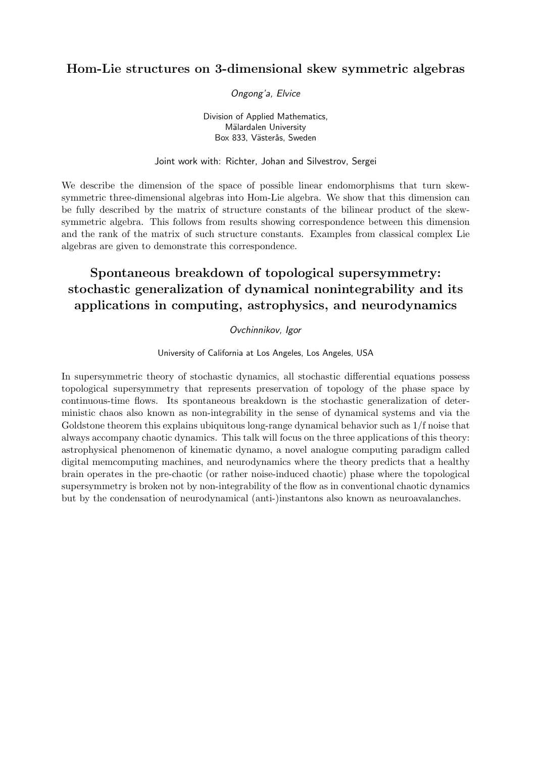### Hom-Lie structures on 3-dimensional skew symmetric algebras

Ongong'a, Elvice

Division of Applied Mathematics, Mälardalen University Box 833, Västerås, Sweden

Joint work with: Richter, Johan and Silvestrov, Sergei

We describe the dimension of the space of possible linear endomorphisms that turn skewsymmetric three-dimensional algebras into Hom-Lie algebra. We show that this dimension can be fully described by the matrix of structure constants of the bilinear product of the skewsymmetric algebra. This follows from results showing correspondence between this dimension and the rank of the matrix of such structure constants. Examples from classical complex Lie algebras are given to demonstrate this correspondence.

# Spontaneous breakdown of topological supersymmetry: stochastic generalization of dynamical nonintegrability and its applications in computing, astrophysics, and neurodynamics

### Ovchinnikov, Igor

University of California at Los Angeles, Los Angeles, USA

In supersymmetric theory of stochastic dynamics, all stochastic differential equations possess topological supersymmetry that represents preservation of topology of the phase space by continuous-time flows. Its spontaneous breakdown is the stochastic generalization of deterministic chaos also known as non-integrability in the sense of dynamical systems and via the Goldstone theorem this explains ubiquitous long-range dynamical behavior such as 1/f noise that always accompany chaotic dynamics. This talk will focus on the three applications of this theory: astrophysical phenomenon of kinematic dynamo, a novel analogue computing paradigm called digital memcomputing machines, and neurodynamics where the theory predicts that a healthy brain operates in the pre-chaotic (or rather noise-induced chaotic) phase where the topological supersymmetry is broken not by non-integrability of the flow as in conventional chaotic dynamics but by the condensation of neurodynamical (anti-)instantons also known as neuroavalanches.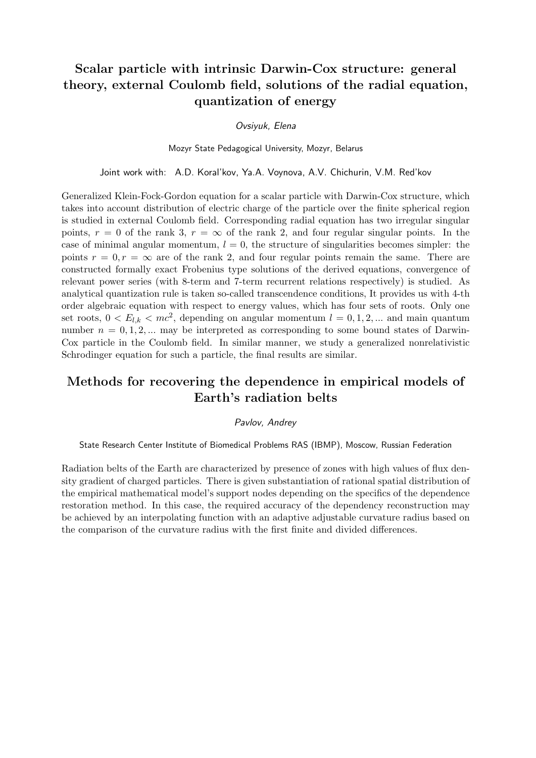# Scalar particle with intrinsic Darwin-Cox structure: general theory, external Coulomb field, solutions of the radial equation, quantization of energy

### Ovsiyuk, Elena

Mozyr State Pedagogical University, Mozyr, Belarus

Joint work with: A.D. Koral'kov, Ya.A. Voynova, A.V. Chichurin, V.M. Red'kov

Generalized Klein-Fock-Gordon equation for a scalar particle with Darwin-Cox structure, which takes into account distribution of electric charge of the particle over the finite spherical region is studied in external Coulomb field. Corresponding radial equation has two irregular singular points,  $r = 0$  of the rank 3,  $r = \infty$  of the rank 2, and four regular singular points. In the case of minimal angular momentum,  $l = 0$ , the structure of singularities becomes simpler: the points  $r = 0, r = \infty$  are of the rank 2, and four regular points remain the same. There are constructed formally exact Frobenius type solutions of the derived equations, convergence of relevant power series (with 8-term and 7-term recurrent relations respectively) is studied. As analytical quantization rule is taken so-called transcendence conditions, It provides us with 4-th order algebraic equation with respect to energy values, which has four sets of roots. Only one set roots,  $0 < E_{l,k} < mc^2$ , depending on angular momentum  $l = 0, 1, 2, ...$  and main quantum number  $n = 0, 1, 2, \dots$  may be interpreted as corresponding to some bound states of Darwin-Cox particle in the Coulomb field. In similar manner, we study a generalized nonrelativistic Schrodinger equation for such a particle, the final results are similar.

# Methods for recovering the dependence in empirical models of Earth's radiation belts

#### Pavlov, Andrey

#### State Research Center Institute of Biomedical Problems RAS (IBMP), Moscow, Russian Federation

Radiation belts of the Earth are characterized by presence of zones with high values of flux density gradient of charged particles. There is given substantiation of rational spatial distribution of the empirical mathematical model's support nodes depending on the specifics of the dependence restoration method. In this case, the required accuracy of the dependency reconstruction may be achieved by an interpolating function with an adaptive adjustable curvature radius based on the comparison of the curvature radius with the first finite and divided differences.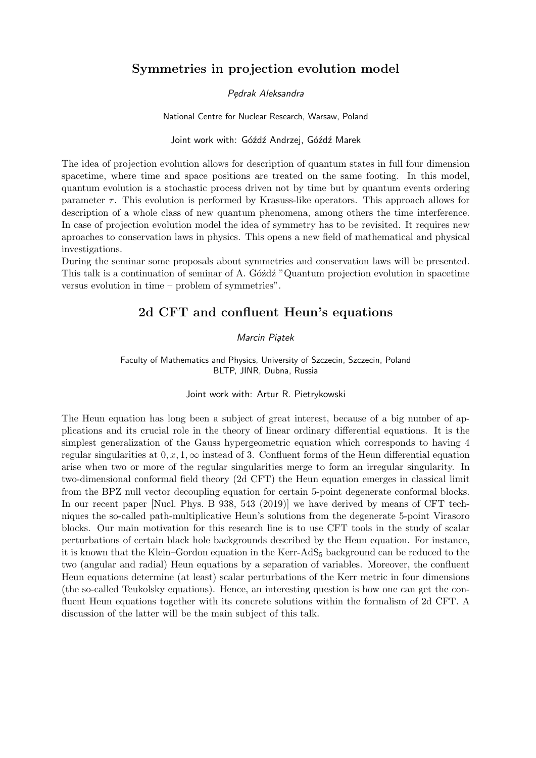### Symmetries in projection evolution model

### Pędrak Aleksandra

National Centre for Nuclear Research, Warsaw, Poland

#### Joint work with: Góźdź Andrzej, Góźdź Marek

The idea of projection evolution allows for description of quantum states in full four dimension spacetime, where time and space positions are treated on the same footing. In this model, quantum evolution is a stochastic process driven not by time but by quantum events ordering parameter  $\tau$ . This evolution is performed by Krasuss-like operators. This approach allows for description of a whole class of new quantum phenomena, among others the time interference. In case of projection evolution model the idea of symmetry has to be revisited. It requires new aproaches to conservation laws in physics. This opens a new field of mathematical and physical investigations.

During the seminar some proposals about symmetries and conservation laws will be presented. This talk is a continuation of seminar of A. Gózdz "Quantum projection evolution in spacetime versus evolution in time – problem of symmetries".

### 2d CFT and confluent Heun's equations

#### Marcin Piątek

Faculty of Mathematics and Physics, University of Szczecin, Szczecin, Poland BLTP, JINR, Dubna, Russia

#### Joint work with: Artur R. Pietrykowski

The Heun equation has long been a subject of great interest, because of a big number of applications and its crucial role in the theory of linear ordinary differential equations. It is the simplest generalization of the Gauss hypergeometric equation which corresponds to having 4 regular singularities at  $0, x, 1, \infty$  instead of 3. Confluent forms of the Heun differential equation arise when two or more of the regular singularities merge to form an irregular singularity. In two-dimensional conformal field theory (2d CFT) the Heun equation emerges in classical limit from the BPZ null vector decoupling equation for certain 5-point degenerate conformal blocks. In our recent paper [Nucl. Phys. B 938, 543 (2019)] we have derived by means of CFT techniques the so-called path-multiplicative Heun's solutions from the degenerate 5-point Virasoro blocks. Our main motivation for this research line is to use CFT tools in the study of scalar perturbations of certain black hole backgrounds described by the Heun equation. For instance, it is known that the Klein–Gordon equation in the Kerr-AdS $_5$  background can be reduced to the two (angular and radial) Heun equations by a separation of variables. Moreover, the confluent Heun equations determine (at least) scalar perturbations of the Kerr metric in four dimensions (the so-called Teukolsky equations). Hence, an interesting question is how one can get the confluent Heun equations together with its concrete solutions within the formalism of 2d CFT. A discussion of the latter will be the main subject of this talk.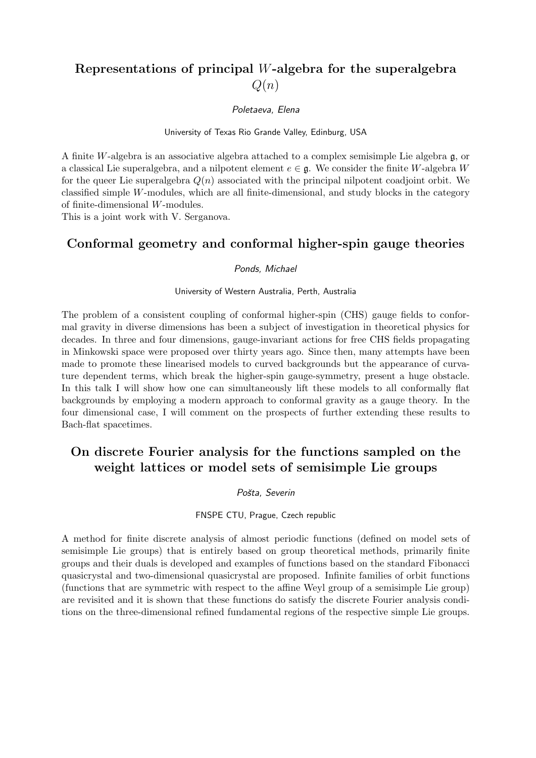# Representations of principal W-algebra for the superalgebra  $Q(n)$

Poletaeva, Elena

University of Texas Rio Grande Valley, Edinburg, USA

A finite W-algebra is an associative algebra attached to a complex semisimple Lie algebra  $\mathfrak{g}$ , or a classical Lie superalgebra, and a nilpotent element  $e \in \mathfrak{g}$ . We consider the finite W-algebra W for the queer Lie superalgebra  $Q(n)$  associated with the principal nilpotent coadjoint orbit. We classified simple  $W$ -modules, which are all finite-dimensional, and study blocks in the category of finite-dimensional W-modules.

This is a joint work with V. Serganova.

### Conformal geometry and conformal higher-spin gauge theories

#### Ponds, Michael

#### University of Western Australia, Perth, Australia

The problem of a consistent coupling of conformal higher-spin (CHS) gauge fields to conformal gravity in diverse dimensions has been a subject of investigation in theoretical physics for decades. In three and four dimensions, gauge-invariant actions for free CHS fields propagating in Minkowski space were proposed over thirty years ago. Since then, many attempts have been made to promote these linearised models to curved backgrounds but the appearance of curvature dependent terms, which break the higher-spin gauge-symmetry, present a huge obstacle. In this talk I will show how one can simultaneously lift these models to all conformally flat backgrounds by employing a modern approach to conformal gravity as a gauge theory. In the four dimensional case, I will comment on the prospects of further extending these results to Bach-flat spacetimes.

# On discrete Fourier analysis for the functions sampled on the weight lattices or model sets of semisimple Lie groups

#### Pošta, Severin

#### FNSPE CTU, Prague, Czech republic

A method for finite discrete analysis of almost periodic functions (defined on model sets of semisimple Lie groups) that is entirely based on group theoretical methods, primarily finite groups and their duals is developed and examples of functions based on the standard Fibonacci quasicrystal and two-dimensional quasicrystal are proposed. Infinite families of orbit functions (functions that are symmetric with respect to the affine Weyl group of a semisimple Lie group) are revisited and it is shown that these functions do satisfy the discrete Fourier analysis conditions on the three-dimensional refined fundamental regions of the respective simple Lie groups.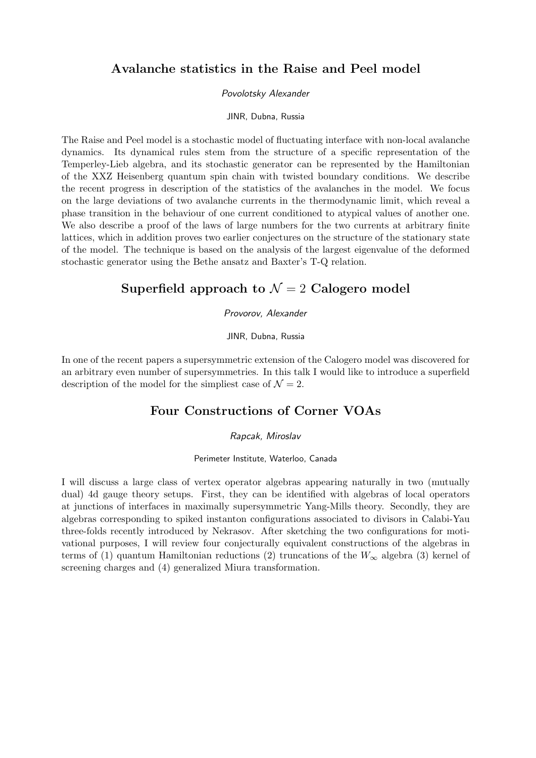### Avalanche statistics in the Raise and Peel model

### Povolotsky Alexander

#### JINR, Dubna, Russia

The Raise and Peel model is a stochastic model of fluctuating interface with non-local avalanche dynamics. Its dynamical rules stem from the structure of a specific representation of the Temperley-Lieb algebra, and its stochastic generator can be represented by the Hamiltonian of the XXZ Heisenberg quantum spin chain with twisted boundary conditions. We describe the recent progress in description of the statistics of the avalanches in the model. We focus on the large deviations of two avalanche currents in the thermodynamic limit, which reveal a phase transition in the behaviour of one current conditioned to atypical values of another one. We also describe a proof of the laws of large numbers for the two currents at arbitrary finite lattices, which in addition proves two earlier conjectures on the structure of the stationary state of the model. The technique is based on the analysis of the largest eigenvalue of the deformed stochastic generator using the Bethe ansatz and Baxter's T-Q relation.

### Superfield approach to  $\mathcal{N}=2$  Calogero model

#### Provorov, Alexander

#### JINR, Dubna, Russia

In one of the recent papers a supersymmetric extension of the Calogero model was discovered for an arbitrary even number of supersymmetries. In this talk I would like to introduce a superfield description of the model for the simpliest case of  $\mathcal{N} = 2$ .

### Four Constructions of Corner VOAs

#### Rapcak, Miroslav

#### Perimeter Institute, Waterloo, Canada

I will discuss a large class of vertex operator algebras appearing naturally in two (mutually dual) 4d gauge theory setups. First, they can be identified with algebras of local operators at junctions of interfaces in maximally supersymmetric Yang-Mills theory. Secondly, they are algebras corresponding to spiked instanton configurations associated to divisors in Calabi-Yau three-folds recently introduced by Nekrasov. After sketching the two configurations for motivational purposes, I will review four conjecturally equivalent constructions of the algebras in terms of (1) quantum Hamiltonian reductions (2) truncations of the  $W_{\infty}$  algebra (3) kernel of screening charges and (4) generalized Miura transformation.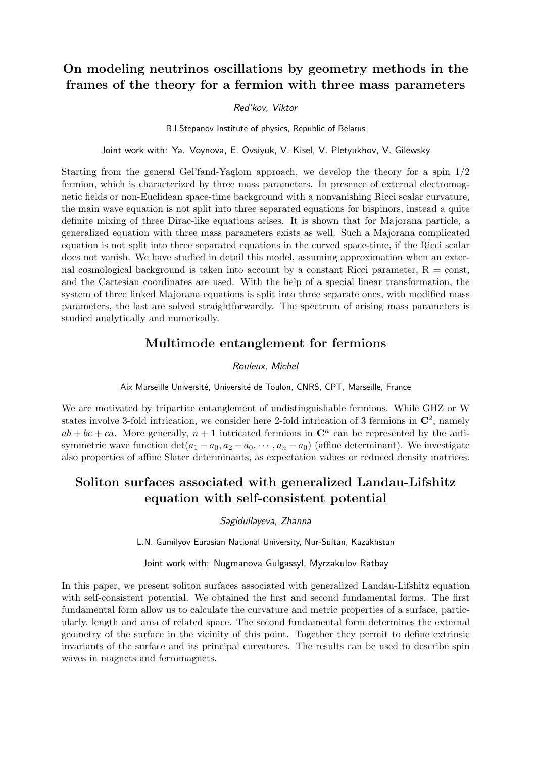# On modeling neutrinos oscillations by geometry methods in the frames of the theory for a fermion with three mass parameters

#### Red'kov, Viktor

B.I.Stepanov Institute of physics, Republic of Belarus

Joint work with: Ya. Voynova, E. Ovsiyuk, V. Kisel, V. Pletyukhov, V. Gilewsky

Starting from the general Gel'fand-Yaglom approach, we develop the theory for a spin 1/2 fermion, which is characterized by three mass parameters. In presence of external electromagnetic fields or non-Euclidean space-time background with a nonvanishing Ricci scalar curvature, the main wave equation is not split into three separated equations for bispinors, instead a quite definite mixing of three Dirac-like equations arises. It is shown that for Majorana particle, a generalized equation with three mass parameters exists as well. Such a Majorana complicated equation is not split into three separated equations in the curved space-time, if the Ricci scalar does not vanish. We have studied in detail this model, assuming approximation when an external cosmological background is taken into account by a constant Ricci parameter,  $R = \text{const}$ , and the Cartesian coordinates are used. With the help of a special linear transformation, the system of three linked Majorana equations is split into three separate ones, with modified mass parameters, the last are solved straightforwardly. The spectrum of arising mass parameters is studied analytically and numerically.

### Multimode entanglement for fermions

#### Rouleux, Michel

Aix Marseille Université, Université de Toulon, CNRS, CPT, Marseille, France

We are motivated by tripartite entanglement of undistinguishable fermions. While GHZ or W states involve 3-fold intrication, we consider here 2-fold intrication of 3 fermions in  $\mathbb{C}^2$ , namely  $ab + bc + ca$ . More generally,  $n + 1$  intricated fermions in  $\mathbb{C}^n$  can be represented by the antisymmetric wave function  $\det(a_1 - a_0, a_2 - a_0, \cdots, a_n - a_0)$  (affine determinant). We investigate also properties of affine Slater determinants, as expectation values or reduced density matrices.

# Soliton surfaces associated with generalized Landau-Lifshitz equation with self-consistent potential

Sagidullayeva, Zhanna

L.N. Gumilyov Eurasian National University, Nur-Sultan, Kazakhstan

Joint work with: Nugmanova Gulgassyl, Myrzakulov Ratbay

In this paper, we present soliton surfaces associated with generalized Landau-Lifshitz equation with self-consistent potential. We obtained the first and second fundamental forms. The first fundamental form allow us to calculate the curvature and metric properties of a surface, particularly, length and area of related space. The second fundamental form determines the external geometry of the surface in the vicinity of this point. Together they permit to define extrinsic invariants of the surface and its principal curvatures. The results can be used to describe spin waves in magnets and ferromagnets.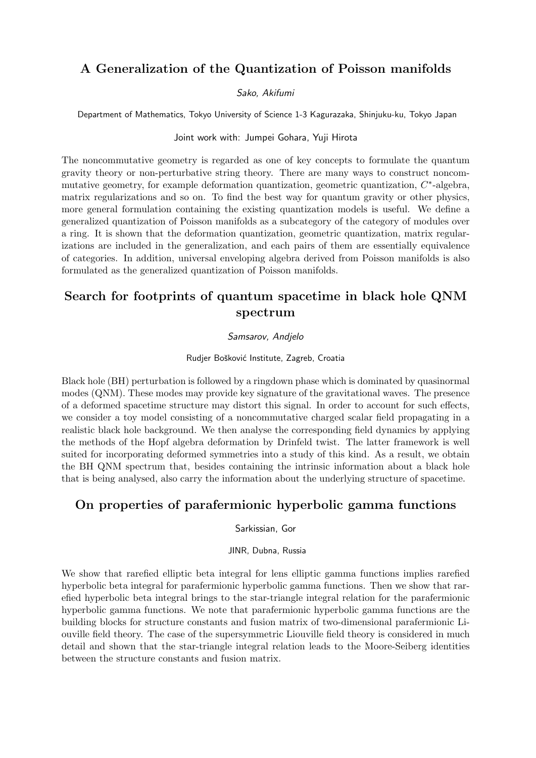# A Generalization of the Quantization of Poisson manifolds

### Sako, Akifumi

Department of Mathematics, Tokyo University of Science 1-3 Kagurazaka, Shinjuku-ku, Tokyo Japan

### Joint work with: Jumpei Gohara, Yuji Hirota

The noncommutative geometry is regarded as one of key concepts to formulate the quantum gravity theory or non-perturbative string theory. There are many ways to construct noncommutative geometry, for example deformation quantization, geometric quantization,  $C^*$ -algebra, matrix regularizations and so on. To find the best way for quantum gravity or other physics, more general formulation containing the existing quantization models is useful. We define a generalized quantization of Poisson manifolds as a subcategory of the category of modules over a ring. It is shown that the deformation quantization, geometric quantization, matrix regularizations are included in the generalization, and each pairs of them are essentially equivalence of categories. In addition, universal enveloping algebra derived from Poisson manifolds is also formulated as the generalized quantization of Poisson manifolds.

# Search for footprints of quantum spacetime in black hole QNM spectrum

#### Samsarov, Andjelo

### Rudjer Bošković Institute, Zagreb, Croatia

Black hole (BH) perturbation is followed by a ringdown phase which is dominated by quasinormal modes (QNM). These modes may provide key signature of the gravitational waves. The presence of a deformed spacetime structure may distort this signal. In order to account for such effects, we consider a toy model consisting of a noncommutative charged scalar field propagating in a realistic black hole background. We then analyse the corresponding field dynamics by applying the methods of the Hopf algebra deformation by Drinfeld twist. The latter framework is well suited for incorporating deformed symmetries into a study of this kind. As a result, we obtain the BH QNM spectrum that, besides containing the intrinsic information about a black hole that is being analysed, also carry the information about the underlying structure of spacetime.

# On properties of parafermionic hyperbolic gamma functions

### Sarkissian, Gor

JINR, Dubna, Russia

We show that rarefied elliptic beta integral for lens elliptic gamma functions implies rarefied hyperbolic beta integral for parafermionic hyperbolic gamma functions. Then we show that rarefied hyperbolic beta integral brings to the star-triangle integral relation for the parafermionic hyperbolic gamma functions. We note that parafermionic hyperbolic gamma functions are the building blocks for structure constants and fusion matrix of two-dimensional parafermionic Liouville field theory. The case of the supersymmetric Liouville field theory is considered in much detail and shown that the star-triangle integral relation leads to the Moore-Seiberg identities between the structure constants and fusion matrix.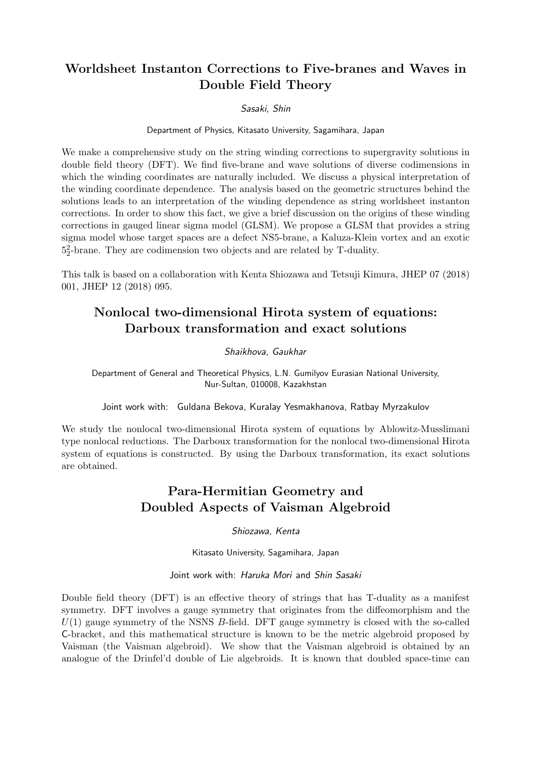# Worldsheet Instanton Corrections to Five-branes and Waves in Double Field Theory

Sasaki, Shin

Department of Physics, Kitasato University, Sagamihara, Japan

We make a comprehensive study on the string winding corrections to supergravity solutions in double field theory (DFT). We find five-brane and wave solutions of diverse codimensions in which the winding coordinates are naturally included. We discuss a physical interpretation of the winding coordinate dependence. The analysis based on the geometric structures behind the solutions leads to an interpretation of the winding dependence as string worldsheet instanton corrections. In order to show this fact, we give a brief discussion on the origins of these winding corrections in gauged linear sigma model (GLSM). We propose a GLSM that provides a string sigma model whose target spaces are a defect NS5-brane, a Kaluza-Klein vortex and an exotic 5 2 2 -brane. They are codimension two objects and are related by T-duality.

This talk is based on a collaboration with Kenta Shiozawa and Tetsuji Kimura, JHEP 07 (2018) 001, JHEP 12 (2018) 095.

# Nonlocal two-dimensional Hirota system of equations: Darboux transformation and exact solutions

### Shaikhova, Gaukhar

Department of General and Theoretical Physics, L.N. Gumilyov Eurasian National University, Nur-Sultan, 010008, Kazakhstan

Joint work with: Guldana Bekova, Kuralay Yesmakhanova, Ratbay Myrzakulov

We study the nonlocal two-dimensional Hirota system of equations by Ablowitz-Musslimani type nonlocal reductions. The Darboux transformation for the nonlocal two-dimensional Hirota system of equations is constructed. By using the Darboux transformation, its exact solutions are obtained.

# Para-Hermitian Geometry and Doubled Aspects of Vaisman Algebroid

Shiozawa, Kenta

Kitasato University, Sagamihara, Japan

Joint work with: Haruka Mori and Shin Sasaki

Double field theory (DFT) is an effective theory of strings that has T-duality as a manifest symmetry. DFT involves a gauge symmetry that originates from the diffeomorphism and the  $U(1)$  gauge symmetry of the NSNS B-field. DFT gauge symmetry is closed with the so-called C-bracket, and this mathematical structure is known to be the metric algebroid proposed by Vaisman (the Vaisman algebroid). We show that the Vaisman algebroid is obtained by an analogue of the Drinfel'd double of Lie algebroids. It is known that doubled space-time can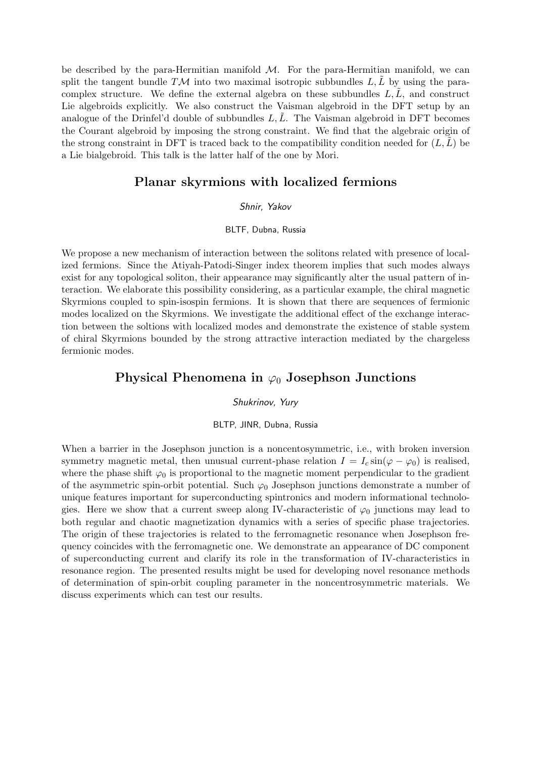be described by the para-Hermitian manifold  $\mathcal{M}$ . For the para-Hermitian manifold, we can split the tangent bundle  $T\mathcal{M}$  into two maximal isotropic subbundles  $L, L$  by using the paracomplex structure. We define the external algebra on these subbundles  $L, L$ , and construct Lie algebroids explicitly. We also construct the Vaisman algebroid in the DFT setup by an analogue of the Drinfel'd double of subbundles  $L, L$ . The Vaisman algebroid in DFT becomes the Courant algebroid by imposing the strong constraint. We find that the algebraic origin of the strong constraint in DFT is traced back to the compatibility condition needed for  $(L, L)$  be a Lie bialgebroid. This talk is the latter half of the one by Mori.

### Planar skyrmions with localized fermions

### Shnir, Yakov

#### BLTF, Dubna, Russia

We propose a new mechanism of interaction between the solitons related with presence of localized fermions. Since the Atiyah-Patodi-Singer index theorem implies that such modes always exist for any topological soliton, their appearance may significantly alter the usual pattern of interaction. We elaborate this possibility considering, as a particular example, the chiral magnetic Skyrmions coupled to spin-isospin fermions. It is shown that there are sequences of fermionic modes localized on the Skyrmions. We investigate the additional effect of the exchange interaction between the soltions with localized modes and demonstrate the existence of stable system of chiral Skyrmions bounded by the strong attractive interaction mediated by the chargeless fermionic modes.

### Physical Phenomena in  $\varphi_0$  Josephson Junctions

#### Shukrinov, Yury

#### BLTP, JINR, Dubna, Russia

When a barrier in the Josephson junction is a noncentosymmetric, i.e., with broken inversion symmetry magnetic metal, then unusual current-phase relation  $I = I_c \sin(\varphi - \varphi_0)$  is realised, where the phase shift  $\varphi_0$  is proportional to the magnetic moment perpendicular to the gradient of the asymmetric spin-orbit potential. Such  $\varphi_0$  Josephson junctions demonstrate a number of unique features important for superconducting spintronics and modern informational technologies. Here we show that a current sweep along IV-characteristic of  $\varphi_0$  junctions may lead to both regular and chaotic magnetization dynamics with a series of specific phase trajectories. The origin of these trajectories is related to the ferromagnetic resonance when Josephson frequency coincides with the ferromagnetic one. We demonstrate an appearance of DC component of superconducting current and clarify its role in the transformation of IV-characteristics in resonance region. The presented results might be used for developing novel resonance methods of determination of spin-orbit coupling parameter in the noncentrosymmetric materials. We discuss experiments which can test our results.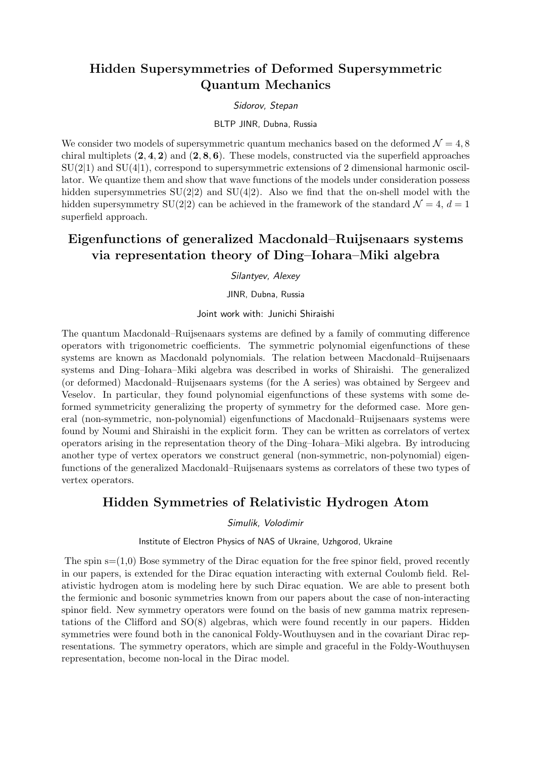# Hidden Supersymmetries of Deformed Supersymmetric Quantum Mechanics

### Sidorov, Stepan

#### BLTP JINR, Dubna, Russia

We consider two models of supersymmetric quantum mechanics based on the deformed  $\mathcal{N} = 4, 8$ chiral multiplets  $(2, 4, 2)$  and  $(2, 8, 6)$ . These models, constructed via the superfield approaches  $SU(2|1)$  and  $SU(4|1)$ , correspond to supersymmetric extensions of 2 dimensional harmonic oscillator. We quantize them and show that wave functions of the models under consideration possess hidden supersymmetries  $SU(2|2)$  and  $SU(4|2)$ . Also we find that the on-shell model with the hidden supersymmetry SU(2|2) can be achieved in the framework of the standard  $\mathcal{N} = 4, d = 1$ superfield approach.

# Eigenfunctions of generalized Macdonald–Ruijsenaars systems via representation theory of Ding–Iohara–Miki algebra

### Silantyev, Alexey

JINR, Dubna, Russia

Joint work with: Junichi Shiraishi

The quantum Macdonald–Ruijsenaars systems are defined by a family of commuting difference operators with trigonometric coefficients. The symmetric polynomial eigenfunctions of these systems are known as Macdonald polynomials. The relation between Macdonald–Ruijsenaars systems and Ding–Iohara–Miki algebra was described in works of Shiraishi. The generalized (or deformed) Macdonald–Ruijsenaars systems (for the A series) was obtained by Sergeev and Veselov. In particular, they found polynomial eigenfunctions of these systems with some deformed symmetricity generalizing the property of symmetry for the deformed case. More general (non-symmetric, non-polynomial) eigenfunctions of Macdonald–Ruijsenaars systems were found by Noumi and Shiraishi in the explicit form. They can be written as correlators of vertex operators arising in the representation theory of the Ding–Iohara–Miki algebra. By introducing another type of vertex operators we construct general (non-symmetric, non-polynomial) eigenfunctions of the generalized Macdonald–Ruijsenaars systems as correlators of these two types of vertex operators.

### Hidden Symmetries of Relativistic Hydrogen Atom

Simulik, Volodimir

Institute of Electron Physics of NAS of Ukraine, Uzhgorod, Ukraine

The spin  $s=(1,0)$  Bose symmetry of the Dirac equation for the free spinor field, proved recently in our papers, is extended for the Dirac equation interacting with external Coulomb field. Relativistic hydrogen atom is modeling here by such Dirac equation. We are able to present both the fermionic and bosonic symmetries known from our papers about the case of non-interacting spinor field. New symmetry operators were found on the basis of new gamma matrix representations of the Clifford and SO(8) algebras, which were found recently in our papers. Hidden symmetries were found both in the canonical Foldy-Wouthuysen and in the covariant Dirac representations. The symmetry operators, which are simple and graceful in the Foldy-Wouthuysen representation, become non-local in the Dirac model.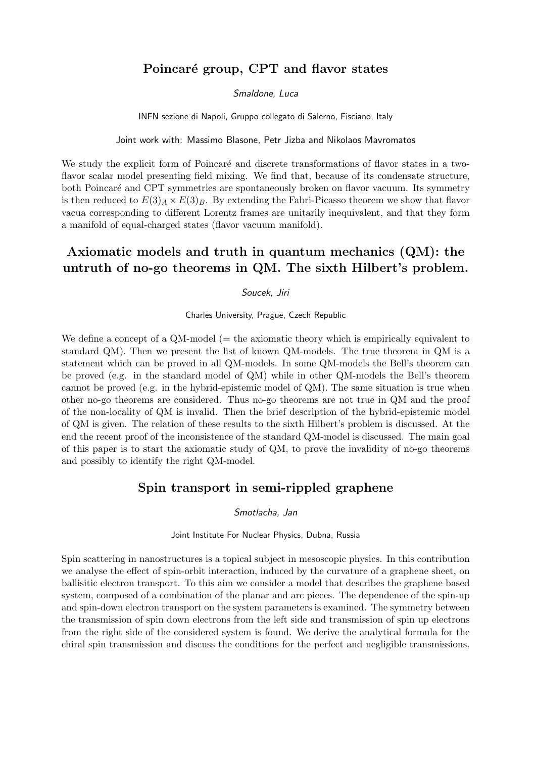### Poincaré group, CPT and flavor states

### Smaldone, Luca

INFN sezione di Napoli, Gruppo collegato di Salerno, Fisciano, Italy

Joint work with: Massimo Blasone, Petr Jizba and Nikolaos Mavromatos

We study the explicit form of Poincaré and discrete transformations of flavor states in a twoflavor scalar model presenting field mixing. We find that, because of its condensate structure, both Poincaré and CPT symmetries are spontaneously broken on flavor vacuum. Its symmetry is then reduced to  $E(3)_A \times E(3)_B$ . By extending the Fabri-Picasso theorem we show that flavor vacua corresponding to different Lorentz frames are unitarily inequivalent, and that they form a manifold of equal-charged states (flavor vacuum manifold).

# Axiomatic models and truth in quantum mechanics (QM): the untruth of no-go theorems in QM. The sixth Hilbert's problem.

#### Soucek, Jiri

Charles University, Prague, Czech Republic

We define a concept of a  $QM$ -model ( $=$  the axiomatic theory which is empirically equivalent to standard QM). Then we present the list of known QM-models. The true theorem in QM is a statement which can be proved in all QM-models. In some QM-models the Bell's theorem can be proved (e.g. in the standard model of QM) while in other QM-models the Bell's theorem cannot be proved (e.g. in the hybrid-epistemic model of QM). The same situation is true when other no-go theorems are considered. Thus no-go theorems are not true in QM and the proof of the non-locality of QM is invalid. Then the brief description of the hybrid-epistemic model of QM is given. The relation of these results to the sixth Hilbert's problem is discussed. At the end the recent proof of the inconsistence of the standard QM-model is discussed. The main goal of this paper is to start the axiomatic study of QM, to prove the invalidity of no-go theorems and possibly to identify the right QM-model.

### Spin transport in semi-rippled graphene

Smotlacha, Jan

Joint Institute For Nuclear Physics, Dubna, Russia

Spin scattering in nanostructures is a topical subject in mesoscopic physics. In this contribution we analyse the effect of spin-orbit interaction, induced by the curvature of a graphene sheet, on ballisitic electron transport. To this aim we consider a model that describes the graphene based system, composed of a combination of the planar and arc pieces. The dependence of the spin-up and spin-down electron transport on the system parameters is examined. The symmetry between the transmission of spin down electrons from the left side and transmission of spin up electrons from the right side of the considered system is found. We derive the analytical formula for the chiral spin transmission and discuss the conditions for the perfect and negligible transmissions.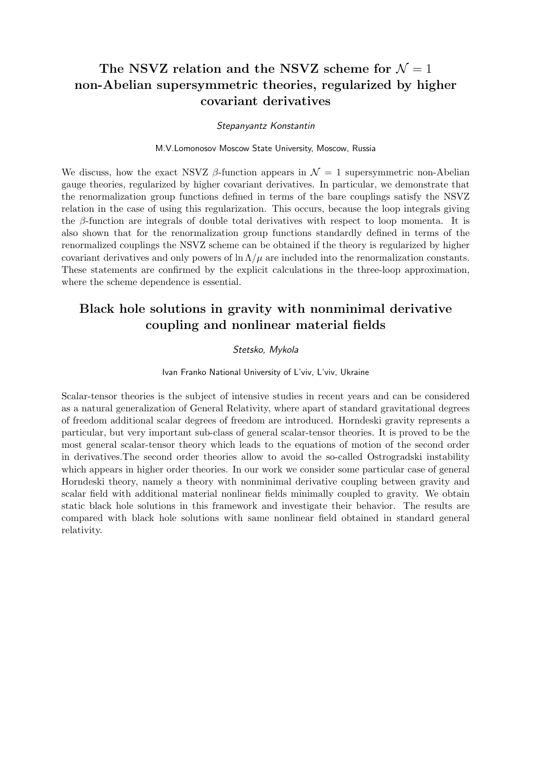# The NSVZ relation and the NSVZ scheme for  $\mathcal{N}=1$ non-Abelian supersymmetric theories, regularized by higher covariant derivatives

#### Stepanyantz Konstantin

#### M.V.Lomonosov Moscow State University, Moscow, Russia

We discuss, how the exact NSVZ  $\beta$ -function appears in  $\mathcal{N} = 1$  supersymmetric non-Abelian gauge theories, regularized by higher covariant derivatives. In particular, we demonstrate that the renormalization group functions defined in terms of the bare couplings satisfy the NSVZ relation in the case of using this regularization. This occurs, because the loop integrals giving the  $\beta$ -function are integrals of double total derivatives with respect to loop momenta. It is also shown that for the renormalization group functions standardly defined in terms of the renormalized couplings the NSVZ scheme can be obtained if the theory is regularized by higher covariant derivatives and only powers of  $\ln \Lambda/\mu$  are included into the renormalization constants. These statements are confirmed by the explicit calculations in the three-loop approximation, where the scheme dependence is essential.

# Black hole solutions in gravity with nonminimal derivative coupling and nonlinear material fields

### Stetsko, Mykola

#### Ivan Franko National University of L'viv, L'viv, Ukraine

Scalar-tensor theories is the subject of intensive studies in recent years and can be considered as a natural generalization of General Relativity, where apart of standard gravitational degrees of freedom additional scalar degrees of freedom are introduced. Horndeski gravity represents a particular, but very important sub-class of general scalar-tensor theories. It is proved to be the most general scalar-tensor theory which leads to the equations of motion of the second order in derivatives.The second order theories allow to avoid the so-called Ostrogradski instability which appears in higher order theories. In our work we consider some particular case of general Horndeski theory, namely a theory with nonminimal derivative coupling between gravity and scalar field with additional material nonlinear fields minimally coupled to gravity. We obtain static black hole solutions in this framework and investigate their behavior. The results are compared with black hole solutions with same nonlinear field obtained in standard general relativity.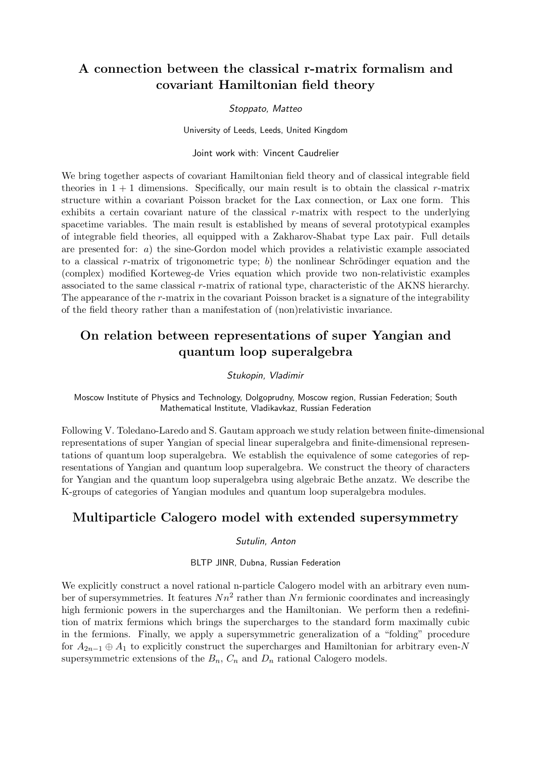# A connection between the classical r-matrix formalism and covariant Hamiltonian field theory

#### Stoppato, Matteo

University of Leeds, Leeds, United Kingdom

### Joint work with: Vincent Caudrelier

We bring together aspects of covariant Hamiltonian field theory and of classical integrable field theories in  $1 + 1$  dimensions. Specifically, our main result is to obtain the classical r-matrix structure within a covariant Poisson bracket for the Lax connection, or Lax one form. This exhibits a certain covariant nature of the classical r-matrix with respect to the underlying spacetime variables. The main result is established by means of several prototypical examples of integrable field theories, all equipped with a Zakharov-Shabat type Lax pair. Full details are presented for: a) the sine-Gordon model which provides a relativistic example associated to a classical r-matrix of trigonometric type; b) the nonlinear Schrödinger equation and the (complex) modified Korteweg-de Vries equation which provide two non-relativistic examples associated to the same classical r-matrix of rational type, characteristic of the AKNS hierarchy. The appearance of the r-matrix in the covariant Poisson bracket is a signature of the integrability of the field theory rather than a manifestation of (non)relativistic invariance.

# On relation between representations of super Yangian and quantum loop superalgebra

#### Stukopin, Vladimir

Moscow Institute of Physics and Technology, Dolgoprudny, Moscow region, Russian Federation; South Mathematical Institute, Vladikavkaz, Russian Federation

Following V. Toledano-Laredo and S. Gautam approach we study relation between finite-dimensional representations of super Yangian of special linear superalgebra and finite-dimensional representations of quantum loop superalgebra. We establish the equivalence of some categories of representations of Yangian and quantum loop superalgebra. We construct the theory of characters for Yangian and the quantum loop superalgebra using algebraic Bethe anzatz. We describe the K-groups of categories of Yangian modules and quantum loop superalgebra modules.

### Multiparticle Calogero model with extended supersymmetry

#### Sutulin, Anton

BLTP JINR, Dubna, Russian Federation

We explicitly construct a novel rational n-particle Calogero model with an arbitrary even number of supersymmetries. It features  $Nn^2$  rather than  $Nn$  fermionic coordinates and increasingly high fermionic powers in the supercharges and the Hamiltonian. We perform then a redefinition of matrix fermions which brings the supercharges to the standard form maximally cubic in the fermions. Finally, we apply a supersymmetric generalization of a "folding" procedure for  $A_{2n-1} \oplus A_1$  to explicitly construct the supercharges and Hamiltonian for arbitrary even-N supersymmetric extensions of the  $B_n$ ,  $C_n$  and  $D_n$  rational Calogero models.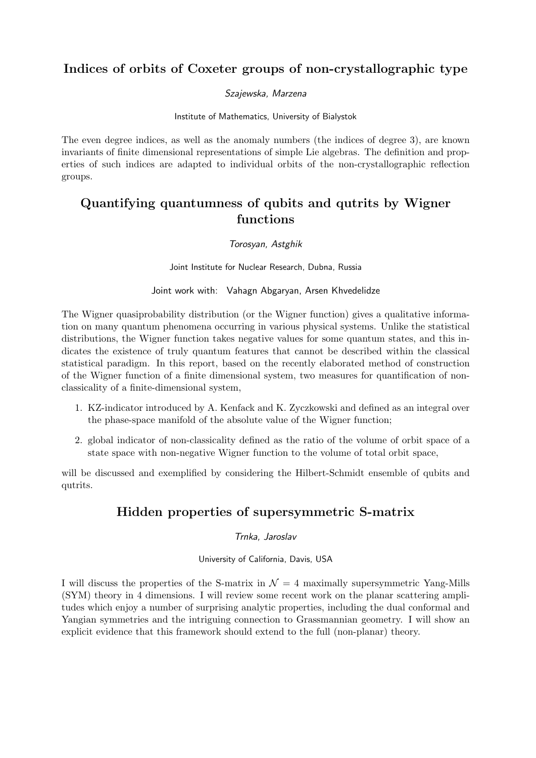# Indices of orbits of Coxeter groups of non-crystallographic type

### Szajewska, Marzena

Institute of Mathematics, University of Bialystok

The even degree indices, as well as the anomaly numbers (the indices of degree 3), are known invariants of finite dimensional representations of simple Lie algebras. The definition and properties of such indices are adapted to individual orbits of the non-crystallographic reflection groups.

# Quantifying quantumness of qubits and qutrits by Wigner functions

### Torosyan, Astghik

Joint Institute for Nuclear Research, Dubna, Russia

Joint work with: Vahagn Abgaryan, Arsen Khvedelidze

The Wigner quasiprobability distribution (or the Wigner function) gives a qualitative information on many quantum phenomena occurring in various physical systems. Unlike the statistical distributions, the Wigner function takes negative values for some quantum states, and this indicates the existence of truly quantum features that cannot be described within the classical statistical paradigm. In this report, based on the recently elaborated method of construction of the Wigner function of a finite dimensional system, two measures for quantification of nonclassicality of a finite-dimensional system,

- 1. KZ-indicator introduced by A. Kenfack and K. Zyczkowski and defined as an integral over the phase-space manifold of the absolute value of the Wigner function;
- 2. global indicator of non-classicality defined as the ratio of the volume of orbit space of a state space with non-negative Wigner function to the volume of total orbit space,

will be discussed and exemplified by considering the Hilbert-Schmidt ensemble of qubits and qutrits.

### Hidden properties of supersymmetric S-matrix

### Trnka, Jaroslav

University of California, Davis, USA

I will discuss the properties of the S-matrix in  $\mathcal{N} = 4$  maximally supersymmetric Yang-Mills (SYM) theory in 4 dimensions. I will review some recent work on the planar scattering amplitudes which enjoy a number of surprising analytic properties, including the dual conformal and Yangian symmetries and the intriguing connection to Grassmannian geometry. I will show an explicit evidence that this framework should extend to the full (non-planar) theory.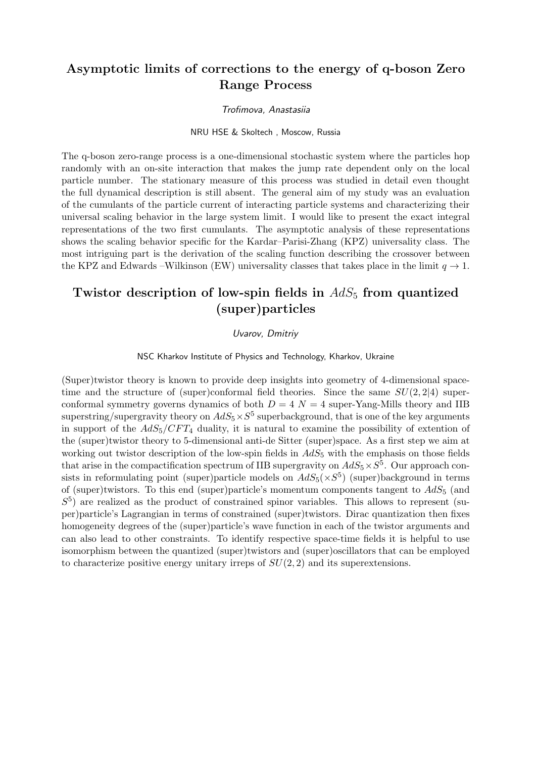# Asymptotic limits of corrections to the energy of q-boson Zero Range Process

#### Trofimova, Anastasiia

#### NRU HSE & Skoltech , Moscow, Russia

The q-boson zero-range process is a one-dimensional stochastic system where the particles hop randomly with an on-site interaction that makes the jump rate dependent only on the local particle number. The stationary measure of this process was studied in detail even thought the full dynamical description is still absent. The general aim of my study was an evaluation of the cumulants of the particle current of interacting particle systems and characterizing their universal scaling behavior in the large system limit. I would like to present the exact integral representations of the two first cumulants. The asymptotic analysis of these representations shows the scaling behavior specific for the Kardar–Parisi-Zhang (KPZ) universality class. The most intriguing part is the derivation of the scaling function describing the crossover between the KPZ and Edwards –Wilkinson (EW) universality classes that takes place in the limit  $q \to 1$ .

# Twistor description of low-spin fields in  $AdS_5$  from quantized (super)particles

### Uvarov, Dmitriy

NSC Kharkov Institute of Physics and Technology, Kharkov, Ukraine

(Super)twistor theory is known to provide deep insights into geometry of 4-dimensional spacetime and the structure of (super)conformal field theories. Since the same  $SU(2, 2|4)$  superconformal symmetry governs dynamics of both  $D = 4$   $N = 4$  super-Yang-Mills theory and IIB superstring/supergravity theory on  $AdS_5\times S^5$  superbackground, that is one of the key arguments in support of the  $AdS_5/CFT_4$  duality, it is natural to examine the possibility of extention of the (super)twistor theory to 5-dimensional anti-de Sitter (super)space. As a first step we aim at working out twistor description of the low-spin fields in  $AdS_5$  with the emphasis on those fields that arise in the compactification spectrum of IIB supergravity on  $AdS_5 \times S^5$ . Our approach consists in reformulating point (super)particle models on  $AdS_5(\times S^5)$  (super)background in terms of (super)twistors. To this end (super)particle's momentum components tangent to  $AdS_5$  (and  $S<sup>5</sup>$ ) are realized as the product of constrained spinor variables. This allows to represent (super)particle's Lagrangian in terms of constrained (super)twistors. Dirac quantization then fixes homogeneity degrees of the (super)particle's wave function in each of the twistor arguments and can also lead to other constraints. To identify respective space-time fields it is helpful to use isomorphism between the quantized (super)twistors and (super)oscillators that can be employed to characterize positive energy unitary irreps of  $SU(2, 2)$  and its superextensions.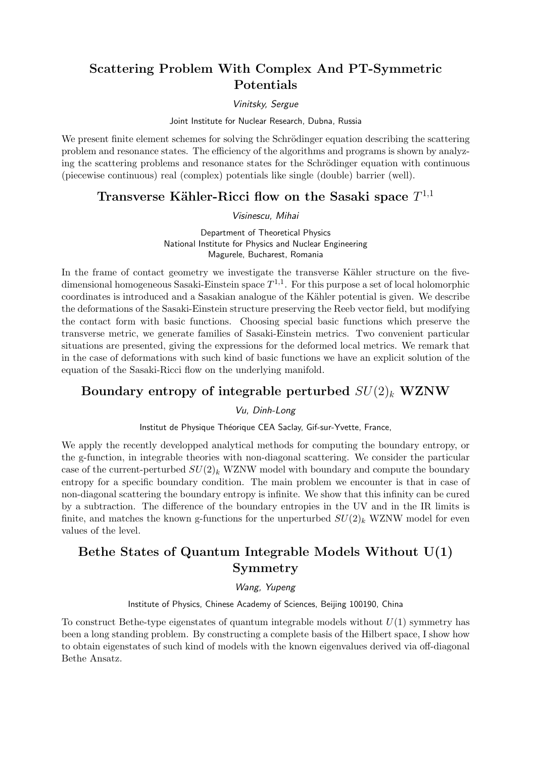# Scattering Problem With Complex And PT-Symmetric Potentials

### Vinitsky, Sergue

Joint Institute for Nuclear Research, Dubna, Russia

We present finite element schemes for solving the Schrödinger equation describing the scattering problem and resonance states. The efficiency of the algorithms and programs is shown by analyzing the scattering problems and resonance states for the Schrödinger equation with continuous (piecewise continuous) real (complex) potentials like single (double) barrier (well).

# Transverse Kähler-Ricci flow on the Sasaki space  $T^{1,1}$

#### Visinescu, Mihai

Department of Theoretical Physics National Institute for Physics and Nuclear Engineering Magurele, Bucharest, Romania

In the frame of contact geometry we investigate the transverse Kähler structure on the fivedimensional homogeneous Sasaki-Einstein space  $T^{1,1}$ . For this purpose a set of local holomorphic coordinates is introduced and a Sasakian analogue of the Kähler potential is given. We describe the deformations of the Sasaki-Einstein structure preserving the Reeb vector field, but modifying the contact form with basic functions. Choosing special basic functions which preserve the transverse metric, we generate families of Sasaki-Einstein metrics. Two convenient particular situations are presented, giving the expressions for the deformed local metrics. We remark that in the case of deformations with such kind of basic functions we have an explicit solution of the equation of the Sasaki-Ricci flow on the underlying manifold.

### Boundary entropy of integrable perturbed  $SU(2)_k$  WZNW

Vu, Dinh-Long

Institut de Physique Théorique CEA Saclay, Gif-sur-Yvette, France,

We apply the recently developped analytical methods for computing the boundary entropy, or the g-function, in integrable theories with non-diagonal scattering. We consider the particular case of the current-perturbed  $SU(2)_k$  WZNW model with boundary and compute the boundary entropy for a specific boundary condition. The main problem we encounter is that in case of non-diagonal scattering the boundary entropy is infinite. We show that this infinity can be cured by a subtraction. The difference of the boundary entropies in the UV and in the IR limits is finite, and matches the known g-functions for the unperturbed  $SU(2)_k$  WZNW model for even values of the level.

# Bethe States of Quantum Integrable Models Without U(1) Symmetry

Wang, Yupeng

Institute of Physics, Chinese Academy of Sciences, Beijing 100190, China

To construct Bethe-type eigenstates of quantum integrable models without  $U(1)$  symmetry has been a long standing problem. By constructing a complete basis of the Hilbert space, I show how to obtain eigenstates of such kind of models with the known eigenvalues derived via off-diagonal Bethe Ansatz.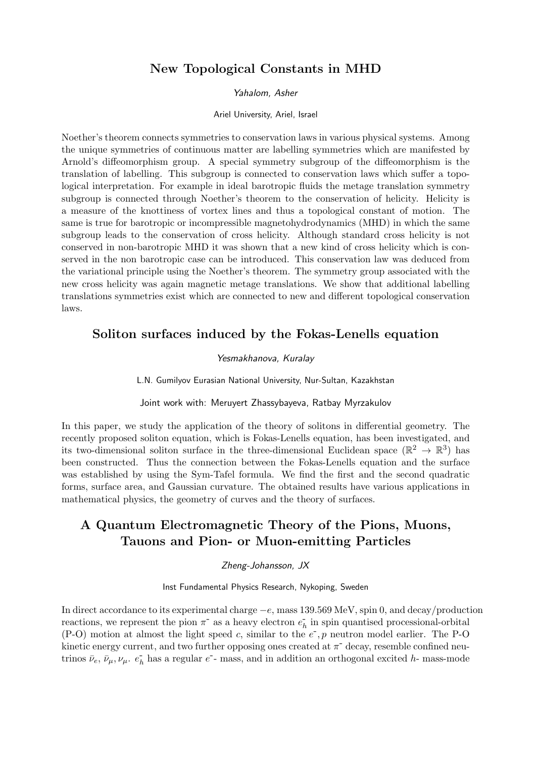# New Topological Constants in MHD

#### Yahalom, Asher

#### Ariel University, Ariel, Israel

Noether's theorem connects symmetries to conservation laws in various physical systems. Among the unique symmetries of continuous matter are labelling symmetries which are manifested by Arnold's diffeomorphism group. A special symmetry subgroup of the diffeomorphism is the translation of labelling. This subgroup is connected to conservation laws which suffer a topological interpretation. For example in ideal barotropic fluids the metage translation symmetry subgroup is connected through Noether's theorem to the conservation of helicity. Helicity is a measure of the knottiness of vortex lines and thus a topological constant of motion. The same is true for barotropic or incompressible magnetohydrodynamics (MHD) in which the same subgroup leads to the conservation of cross helicity. Although standard cross helicity is not conserved in non-barotropic MHD it was shown that a new kind of cross helicity which is conserved in the non barotropic case can be introduced. This conservation law was deduced from the variational principle using the Noether's theorem. The symmetry group associated with the new cross helicity was again magnetic metage translations. We show that additional labelling translations symmetries exist which are connected to new and different topological conservation laws.

### Soliton surfaces induced by the Fokas-Lenells equation

#### Yesmakhanova, Kuralay

L.N. Gumilyov Eurasian National University, Nur-Sultan, Kazakhstan

#### Joint work with: Meruyert Zhassybayeva, Ratbay Myrzakulov

In this paper, we study the application of the theory of solitons in differential geometry. The recently proposed soliton equation, which is Fokas-Lenells equation, has been investigated, and its two-dimensional soliton surface in the three-dimensional Euclidean space ( $\mathbb{R}^2 \to \mathbb{R}^3$ ) has been constructed. Thus the connection between the Fokas-Lenells equation and the surface was established by using the Sym-Tafel formula. We find the first and the second quadratic forms, surface area, and Gaussian curvature. The obtained results have various applications in mathematical physics, the geometry of curves and the theory of surfaces.

# A Quantum Electromagnetic Theory of the Pions, Muons, Tauons and Pion- or Muon-emitting Particles

#### Zheng-Johansson, JX

Inst Fundamental Physics Research, Nykoping, Sweden

In direct accordance to its experimental charge −e, mass 139.569 MeV, spin 0, and decay/production reactions, we represent the pion  $\pi^-$  as a heavy electron  $e_h^-$  in spin quantised processional-orbital (P-O) motion at almost the light speed c, similar to the  $e^-$ , p neutron model earlier. The P-O kinetic energy current, and two further opposing ones created at  $\pi^{-}$  decay, resemble confined neutrinos  $\bar{\nu}_e$ ,  $\bar{\nu}_\mu$ ,  $\nu_\mu$ .  $e_h$  has a regular  $e$ - mass, and in addition an orthogonal excited h- mass-mode